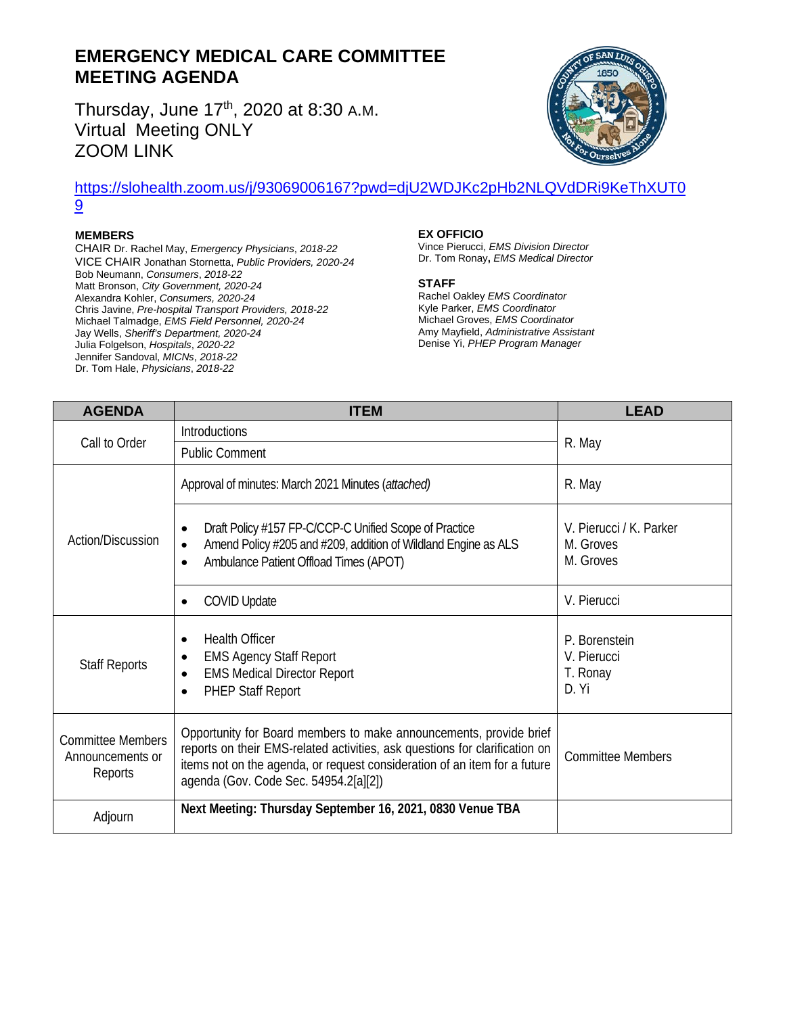# **EMERGENCY MEDICAL CARE COMMITTEE MEETING AGENDA**

Thursday, June 17<sup>th</sup>, 2020 at 8:30 A.M. Virtual Meeting ONLY ZOOM LINK



### [https://slohealth.zoom.us/j/93069006167?pwd=djU2WDJKc2pHb2NLQVdDRi9KeThXUT0](https://slohealth.zoom.us/j/93069006167?pwd=djU2WDJKc2pHb2NLQVdDRi9KeThXUT09) [9](https://slohealth.zoom.us/j/93069006167?pwd=djU2WDJKc2pHb2NLQVdDRi9KeThXUT09)

#### **MEMBERS**

CHAIR Dr. Rachel May, *Emergency Physicians*, *2018-22* VICE CHAIR Jonathan Stornetta, *Public Providers, 2020-24* Bob Neumann, *Consumers*, *2018-22* Matt Bronson, *City Government, 2020-24* Alexandra Kohler, *Consumers, 2020-24* Chris Javine, *Pre-hospital Transport Providers, 2018-22* Michael Talmadge, *EMS Field Personnel, 2020-24* Jay Wells, *Sheriff's Department, 2020-24* Julia Folgelson, *Hospitals*, *2020-22* Jennifer Sandoval, *MICNs*, *2018-22* Dr. Tom Hale, *Physicians*, *2018-22*

#### **EX OFFICIO**

Vince Pierucci, *EMS Division Director* Dr. Tom Ronay**,** *EMS Medical Director*

#### **STAFF**

Rachel Oakley *EMS Coordinator* Kyle Parker, *EMS Coordinator* Michael Groves, *EMS Coordinator* Amy Mayfield, *Administrative Assistant* Denise Yi, *PHEP Program Manager*

| <b>AGENDA</b>                                           | ITEM                                                                                                                                                                                                                                                                    | <b>LEAD</b>                                       |
|---------------------------------------------------------|-------------------------------------------------------------------------------------------------------------------------------------------------------------------------------------------------------------------------------------------------------------------------|---------------------------------------------------|
|                                                         | Introductions                                                                                                                                                                                                                                                           |                                                   |
| Call to Order                                           | <b>Public Comment</b>                                                                                                                                                                                                                                                   | R. May                                            |
|                                                         | Approval of minutes: March 2021 Minutes (attached)                                                                                                                                                                                                                      | R. May                                            |
| Action/Discussion                                       | Draft Policy #157 FP-C/CCP-C Unified Scope of Practice<br>$\bullet$<br>Amend Policy #205 and #209, addition of Wildland Engine as ALS<br>$\bullet$<br>Ambulance Patient Offload Times (APOT)<br>$\bullet$                                                               | V. Pierucci / K. Parker<br>M. Groves<br>M. Groves |
|                                                         | <b>COVID Update</b><br>$\bullet$                                                                                                                                                                                                                                        | V. Pierucci                                       |
| <b>Staff Reports</b>                                    | <b>Health Officer</b><br>$\bullet$<br><b>EMS Agency Staff Report</b><br><b>EMS Medical Director Report</b><br>$\bullet$<br><b>PHEP Staff Report</b><br>$\bullet$                                                                                                        | P. Borenstein<br>V. Pierucci<br>T. Ronay<br>D. Yi |
| <b>Committee Members</b><br>Announcements or<br>Reports | Opportunity for Board members to make announcements, provide brief<br>reports on their EMS-related activities, ask questions for clarification on<br>items not on the agenda, or request consideration of an item for a future<br>agenda (Gov. Code Sec. 54954.2[a][2]) | <b>Committee Members</b>                          |
| Adjourn                                                 | Next Meeting: Thursday September 16, 2021, 0830 Venue TBA                                                                                                                                                                                                               |                                                   |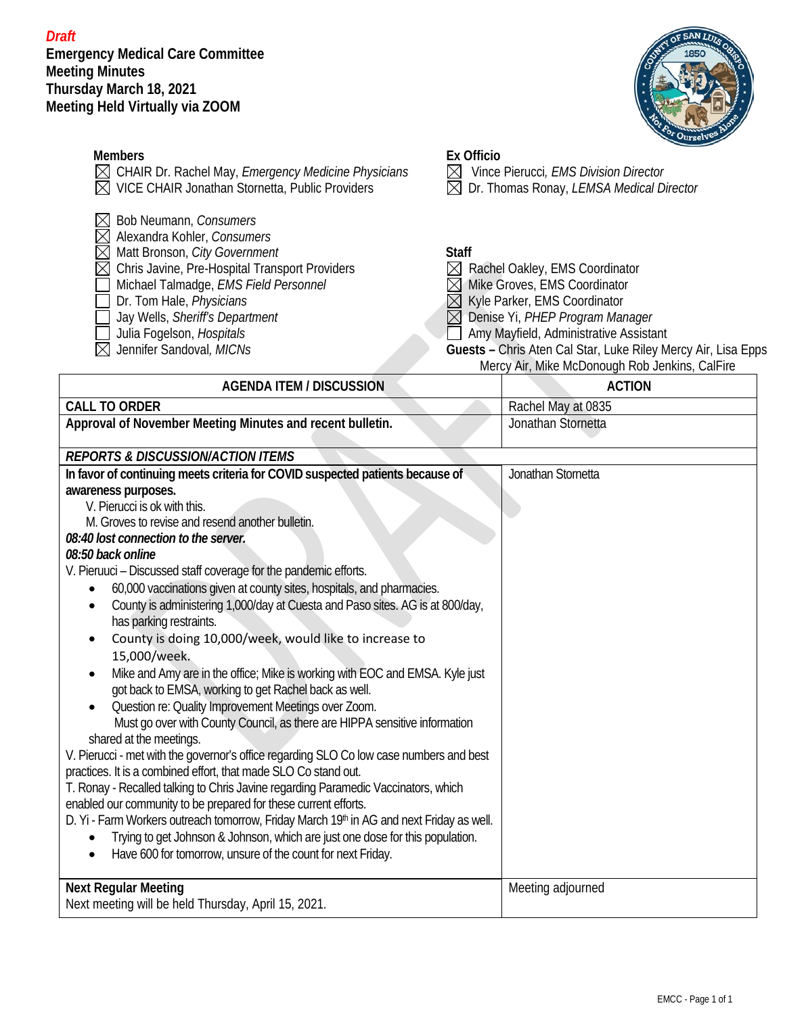*Draft* **Emergency Medical Care Committee Meeting Minutes Thursday March 18, 2021 Meeting Held Virtually via ZOOM**



|                                                                                                                                                                                                                                                                                                                          |                                                     | <b>COr Ourselv</b>                                                                                                                                                                                                                                                                             |
|--------------------------------------------------------------------------------------------------------------------------------------------------------------------------------------------------------------------------------------------------------------------------------------------------------------------------|-----------------------------------------------------|------------------------------------------------------------------------------------------------------------------------------------------------------------------------------------------------------------------------------------------------------------------------------------------------|
| <b>Members</b>                                                                                                                                                                                                                                                                                                           | <b>Ex Officio</b>                                   |                                                                                                                                                                                                                                                                                                |
| $\boxtimes$ CHAIR Dr. Rachel May, Emergency Medicine Physicians                                                                                                                                                                                                                                                          | $\boxtimes$                                         | Vince Pierucci, EMS Division Director                                                                                                                                                                                                                                                          |
| VICE CHAIR Jonathan Stornetta, Public Providers                                                                                                                                                                                                                                                                          | $\boxtimes$                                         | Dr. Thomas Ronay, LEMSA Medical Director                                                                                                                                                                                                                                                       |
| Bob Neumann, Consumers<br>Alexandra Kohler, Consumers<br>Matt Bronson, City Government<br>Chris Javine, Pre-Hospital Transport Providers<br>$\boxtimes$<br>Michael Talmadge, EMS Field Personnel<br>Dr. Tom Hale, Physicians<br>Jay Wells, Sheriff's Department<br>Julia Fogelson, Hospitals<br>Jennifer Sandoval, MICNs | <b>Staff</b><br>$\boxtimes$<br>$\times$<br>$\times$ | Rachel Oakley, EMS Coordinator<br>Mike Groves, EMS Coordinator<br>Kyle Parker, EMS Coordinator<br>Denise Yi, PHEP Program Manager<br>Amy Mayfield, Administrative Assistant<br>Guests - Chris Aten Cal Star, Luke Riley Mercy Air, Lisa Epps<br>Mercy Air, Mike McDonough Rob Jenkins, CalFire |
| <b>AGENDA ITEM / DISCUSSION</b>                                                                                                                                                                                                                                                                                          |                                                     | <b>ACTION</b>                                                                                                                                                                                                                                                                                  |
| <b>CALL TO ORDER</b>                                                                                                                                                                                                                                                                                                     |                                                     | Rachel May at 0835                                                                                                                                                                                                                                                                             |
| Approval of November Meeting Minutes and recent bulletin.                                                                                                                                                                                                                                                                |                                                     | Jonathan Stornetta                                                                                                                                                                                                                                                                             |
| <b>REPORTS &amp; DISCUSSION/ACTION ITEMS</b>                                                                                                                                                                                                                                                                             |                                                     |                                                                                                                                                                                                                                                                                                |
| In favor of continuing meets criteria for COVID suspected patients because of                                                                                                                                                                                                                                            |                                                     | Jonathan Stornetta                                                                                                                                                                                                                                                                             |
| awareness purposes.                                                                                                                                                                                                                                                                                                      |                                                     |                                                                                                                                                                                                                                                                                                |
| V. Pierucci is ok with this.                                                                                                                                                                                                                                                                                             |                                                     |                                                                                                                                                                                                                                                                                                |
| M. Groves to revise and resend another bulletin.                                                                                                                                                                                                                                                                         |                                                     |                                                                                                                                                                                                                                                                                                |
| 08:40 lost connection to the server.                                                                                                                                                                                                                                                                                     |                                                     |                                                                                                                                                                                                                                                                                                |
| 08:50 back online                                                                                                                                                                                                                                                                                                        |                                                     |                                                                                                                                                                                                                                                                                                |
| V. Pieruuci - Discussed staff coverage for the pandemic efforts.                                                                                                                                                                                                                                                         |                                                     |                                                                                                                                                                                                                                                                                                |
| 60,000 vaccinations given at county sites, hospitals, and pharmacies.                                                                                                                                                                                                                                                    |                                                     |                                                                                                                                                                                                                                                                                                |
| County is administering 1,000/day at Cuesta and Paso sites. AG is at 800/day,                                                                                                                                                                                                                                            |                                                     |                                                                                                                                                                                                                                                                                                |
| has parking restraints.                                                                                                                                                                                                                                                                                                  |                                                     |                                                                                                                                                                                                                                                                                                |
| County is doing 10,000/week, would like to increase to                                                                                                                                                                                                                                                                   |                                                     |                                                                                                                                                                                                                                                                                                |
| 15,000/week.                                                                                                                                                                                                                                                                                                             |                                                     |                                                                                                                                                                                                                                                                                                |
| Mike and Amy are in the office; Mike is working with EOC and EMSA. Kyle just                                                                                                                                                                                                                                             |                                                     |                                                                                                                                                                                                                                                                                                |
| got back to EMSA, working to get Rachel back as well.                                                                                                                                                                                                                                                                    |                                                     |                                                                                                                                                                                                                                                                                                |
| Question re: Quality Improvement Meetings over Zoom.                                                                                                                                                                                                                                                                     |                                                     |                                                                                                                                                                                                                                                                                                |
| Must go over with County Council, as there are HIPPA sensitive information                                                                                                                                                                                                                                               |                                                     |                                                                                                                                                                                                                                                                                                |
| shared at the meetings.                                                                                                                                                                                                                                                                                                  |                                                     |                                                                                                                                                                                                                                                                                                |
| V. Pierucci - met with the governor's office regarding SLO Co low case numbers and best                                                                                                                                                                                                                                  |                                                     |                                                                                                                                                                                                                                                                                                |
| practices. It is a combined effort, that made SLO Co stand out.                                                                                                                                                                                                                                                          |                                                     |                                                                                                                                                                                                                                                                                                |
| T. Ronay - Recalled talking to Chris Javine regarding Paramedic Vaccinators, which                                                                                                                                                                                                                                       |                                                     |                                                                                                                                                                                                                                                                                                |
| enabled our community to be prepared for these current efforts.                                                                                                                                                                                                                                                          |                                                     |                                                                                                                                                                                                                                                                                                |
| D. Yi - Farm Workers outreach tomorrow, Friday March 19th in AG and next Friday as well.                                                                                                                                                                                                                                 |                                                     |                                                                                                                                                                                                                                                                                                |
| Trying to get Johnson & Johnson, which are just one dose for this population.                                                                                                                                                                                                                                            |                                                     |                                                                                                                                                                                                                                                                                                |

• Have 600 for tomorrow, unsure of the count for next Friday.

## **Next Regular Meeting** Next meeting will be held Thursday, April 15, 2021. Meeting adjourned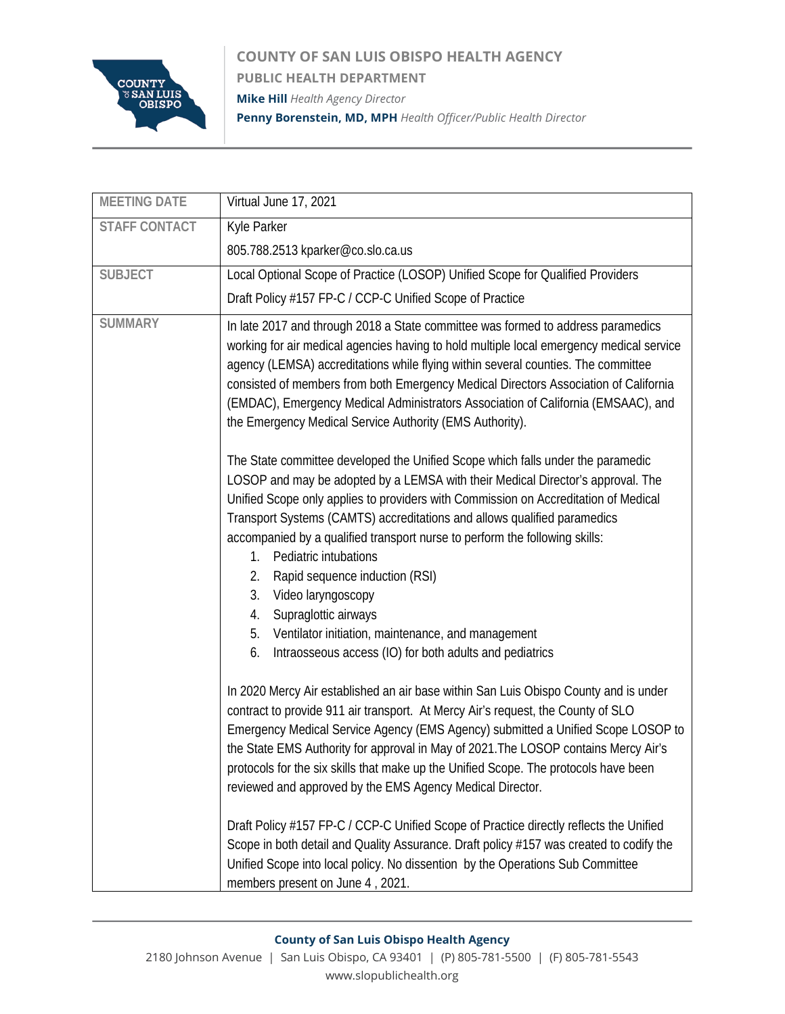

**COUNTY OF SAN LUIS OBISPO HEALTH AGENCY PUBLIC HEALTH DEPARTMENT Mike Hill** *Health Agency Director* **Penny Borenstein, MD, MPH** *Health Officer/Public Health Director*

| <b>MEETING DATE</b>  | Virtual June 17, 2021                                                                                                                                                                                                                                                                                                                                                                                                                                                                                      |
|----------------------|------------------------------------------------------------------------------------------------------------------------------------------------------------------------------------------------------------------------------------------------------------------------------------------------------------------------------------------------------------------------------------------------------------------------------------------------------------------------------------------------------------|
| <b>STAFF CONTACT</b> | Kyle Parker                                                                                                                                                                                                                                                                                                                                                                                                                                                                                                |
|                      | 805.788.2513 kparker@co.slo.ca.us                                                                                                                                                                                                                                                                                                                                                                                                                                                                          |
| <b>SUBJECT</b>       | Local Optional Scope of Practice (LOSOP) Unified Scope for Qualified Providers                                                                                                                                                                                                                                                                                                                                                                                                                             |
|                      | Draft Policy #157 FP-C / CCP-C Unified Scope of Practice                                                                                                                                                                                                                                                                                                                                                                                                                                                   |
| <b>SUMMARY</b>       | In late 2017 and through 2018 a State committee was formed to address paramedics<br>working for air medical agencies having to hold multiple local emergency medical service<br>agency (LEMSA) accreditations while flying within several counties. The committee<br>consisted of members from both Emergency Medical Directors Association of California<br>(EMDAC), Emergency Medical Administrators Association of California (EMSAAC), and<br>the Emergency Medical Service Authority (EMS Authority). |
|                      | The State committee developed the Unified Scope which falls under the paramedic<br>LOSOP and may be adopted by a LEMSA with their Medical Director's approval. The<br>Unified Scope only applies to providers with Commission on Accreditation of Medical<br>Transport Systems (CAMTS) accreditations and allows qualified paramedics<br>accompanied by a qualified transport nurse to perform the following skills:<br>Pediatric intubations<br>1.                                                        |
|                      | Rapid sequence induction (RSI)<br>2.<br>Video laryngoscopy<br>3.<br>Supraglottic airways<br>4.<br>Ventilator initiation, maintenance, and management<br>5.<br>Intraosseous access (IO) for both adults and pediatrics<br>6.                                                                                                                                                                                                                                                                                |
|                      | In 2020 Mercy Air established an air base within San Luis Obispo County and is under<br>contract to provide 911 air transport. At Mercy Air's request, the County of SLO<br>Emergency Medical Service Agency (EMS Agency) submitted a Unified Scope LOSOP to<br>the State EMS Authority for approval in May of 2021. The LOSOP contains Mercy Air's<br>protocols for the six skills that make up the Unified Scope. The protocols have been<br>reviewed and approved by the EMS Agency Medical Director.   |
|                      | Draft Policy #157 FP-C / CCP-C Unified Scope of Practice directly reflects the Unified<br>Scope in both detail and Quality Assurance. Draft policy #157 was created to codify the<br>Unified Scope into local policy. No dissention by the Operations Sub Committee<br>members present on June 4, 2021.                                                                                                                                                                                                    |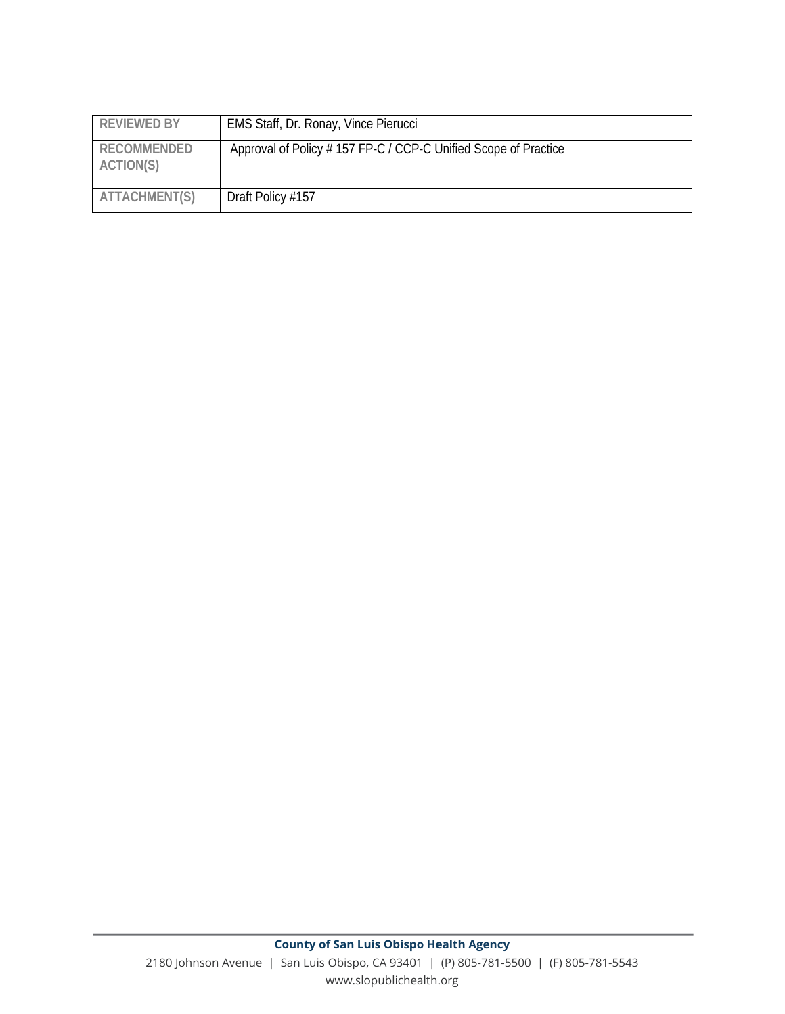| <b>REVIEWED BY</b>              | EMS Staff, Dr. Ronay, Vince Pierucci                            |
|---------------------------------|-----------------------------------------------------------------|
| <b>RECOMMENDED</b><br>ACTION(S) | Approval of Policy # 157 FP-C / CCP-C Unified Scope of Practice |
| ATTACHMENT(S)                   | Draft Policy #157                                               |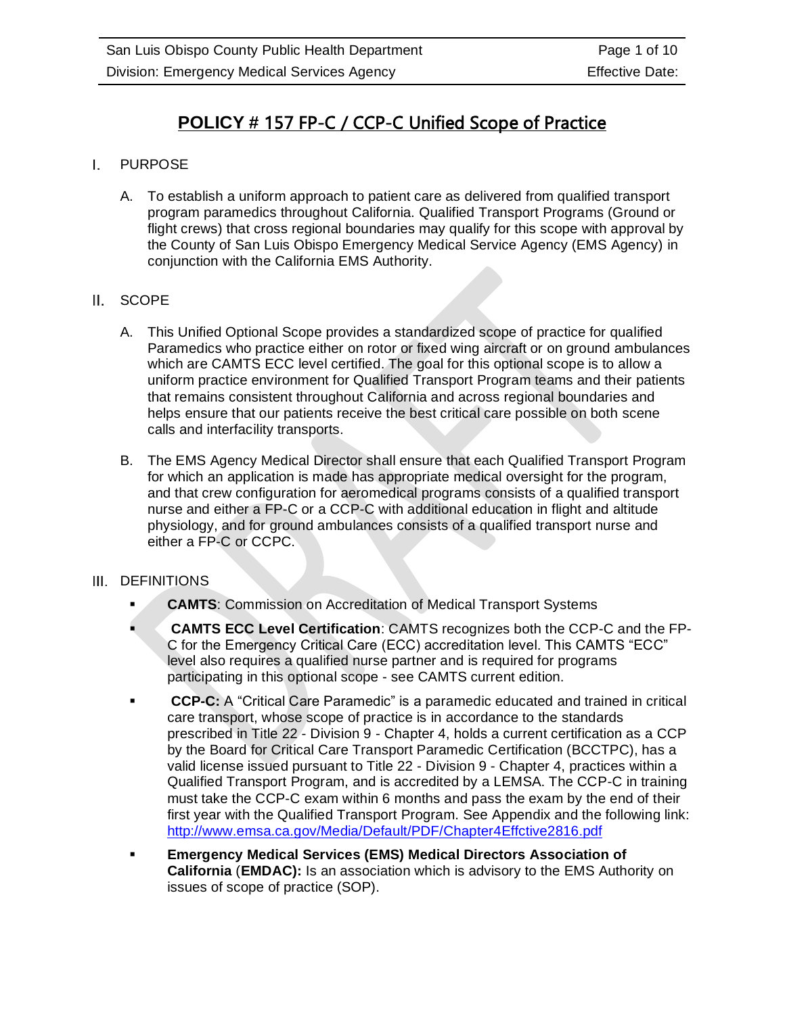# **POLICY #** 157 FP-C / CCP-C Unified Scope of Practice

#### $\mathbf{L}$ PURPOSE

A. To establish a uniform approach to patient care as delivered from qualified transport program paramedics throughout California. Qualified Transport Programs (Ground or flight crews) that cross regional boundaries may qualify for this scope with approval by the County of San Luis Obispo Emergency Medical Service Agency (EMS Agency) in conjunction with the California EMS Authority.

### II. SCOPE

- A. This Unified Optional Scope provides a standardized scope of practice for qualified Paramedics who practice either on rotor or fixed wing aircraft or on ground ambulances which are CAMTS ECC level certified. The goal for this optional scope is to allow a uniform practice environment for Qualified Transport Program teams and their patients that remains consistent throughout California and across regional boundaries and helps ensure that our patients receive the best critical care possible on both scene calls and interfacility transports.
- B. The EMS Agency Medical Director shall ensure that each Qualified Transport Program for which an application is made has appropriate medical oversight for the program, and that crew configuration for aeromedical programs consists of a qualified transport nurse and either a FP-C or a CCP-C with additional education in flight and altitude physiology, and for ground ambulances consists of a qualified transport nurse and either a FP-C or CCPC.

#### III. DEFINITIONS

- **CAMTS: Commission on Accreditation of Medical Transport Systems**
- **CAMTS ECC Level Certification**: CAMTS recognizes both the CCP-C and the FP-C for the Emergency Critical Care (ECC) accreditation level. This CAMTS "ECC" level also requires a qualified nurse partner and is required for programs participating in this optional scope - see CAMTS current edition.
- **CCP-C:** A "Critical Care Paramedic" is a paramedic educated and trained in critical care transport, whose scope of practice is in accordance to the standards prescribed in Title 22 - Division 9 - Chapter 4, holds a current certification as a CCP by the Board for Critical Care Transport Paramedic Certification (BCCTPC), has a valid license issued pursuant to Title 22 - Division 9 - Chapter 4, practices within a Qualified Transport Program, and is accredited by a LEMSA. The CCP-C in training must take the CCP-C exam within 6 months and pass the exam by the end of their first year with the Qualified Transport Program. See Appendix and the following link: <http://www.emsa.ca.gov/Media/Default/PDF/Chapter4Effctive2816.pdf>
- **Emergency Medical Services (EMS) Medical Directors Association of California** (**EMDAC):** Is an association which is advisory to the EMS Authority on issues of scope of practice (SOP).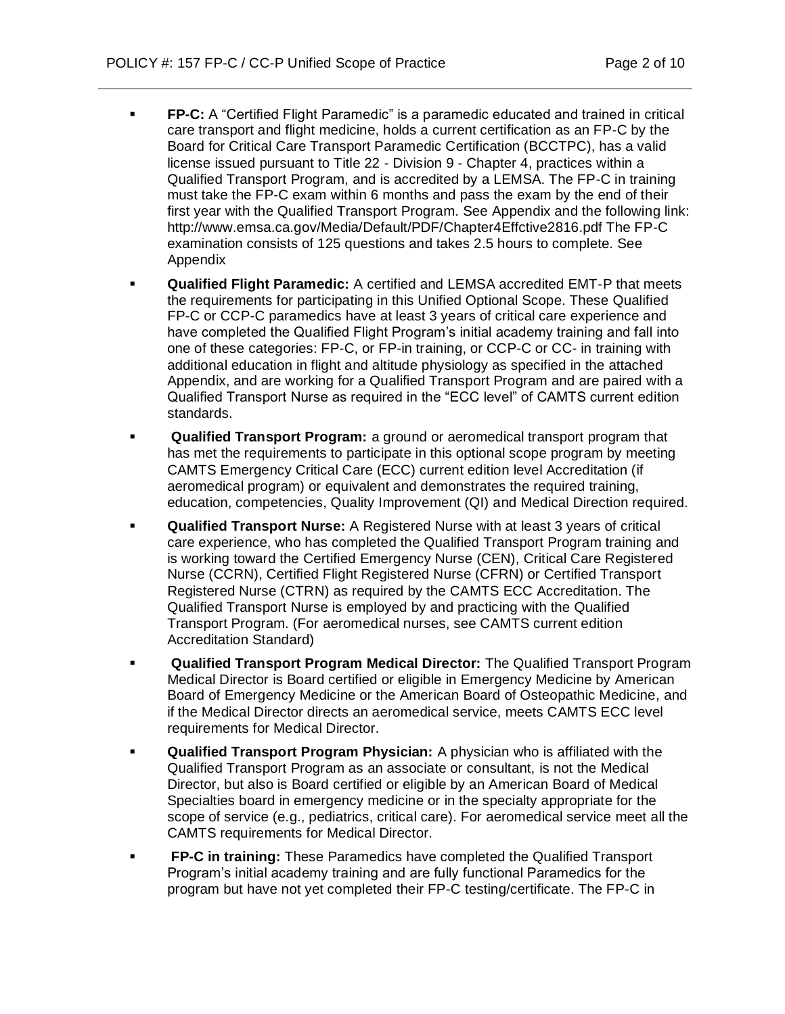- **FP-C:** A "Certified Flight Paramedic" is a paramedic educated and trained in critical care transport and flight medicine, holds a current certification as an FP-C by the Board for Critical Care Transport Paramedic Certification (BCCTPC), has a valid license issued pursuant to Title 22 - Division 9 - Chapter 4, practices within a Qualified Transport Program, and is accredited by a LEMSA. The FP-C in training must take the FP-C exam within 6 months and pass the exam by the end of their first year with the Qualified Transport Program. See Appendix and the following link: http://www.emsa.ca.gov/Media/Default/PDF/Chapter4Effctive2816.pdf The FP-C examination consists of 125 questions and takes 2.5 hours to complete. See Appendix
- **Qualified Flight Paramedic:** A certified and LEMSA accredited EMT-P that meets the requirements for participating in this Unified Optional Scope. These Qualified FP-C or CCP-C paramedics have at least 3 years of critical care experience and have completed the Qualified Flight Program's initial academy training and fall into one of these categories: FP-C, or FP-in training, or CCP-C or CC- in training with additional education in flight and altitude physiology as specified in the attached Appendix, and are working for a Qualified Transport Program and are paired with a Qualified Transport Nurse as required in the "ECC level" of CAMTS current edition standards.
- Qualified Transport Program: a ground or aeromedical transport program that has met the requirements to participate in this optional scope program by meeting CAMTS Emergency Critical Care (ECC) current edition level Accreditation (if aeromedical program) or equivalent and demonstrates the required training, education, competencies, Quality Improvement (QI) and Medical Direction required.
- **Qualified Transport Nurse:** A Registered Nurse with at least 3 years of critical care experience, who has completed the Qualified Transport Program training and is working toward the Certified Emergency Nurse (CEN), Critical Care Registered Nurse (CCRN), Certified Flight Registered Nurse (CFRN) or Certified Transport Registered Nurse (CTRN) as required by the CAMTS ECC Accreditation. The Qualified Transport Nurse is employed by and practicing with the Qualified Transport Program. (For aeromedical nurses, see CAMTS current edition Accreditation Standard)
- **Qualified Transport Program Medical Director:** The Qualified Transport Program Medical Director is Board certified or eligible in Emergency Medicine by American Board of Emergency Medicine or the American Board of Osteopathic Medicine, and if the Medical Director directs an aeromedical service, meets CAMTS ECC level requirements for Medical Director.
- **Qualified Transport Program Physician:** A physician who is affiliated with the Qualified Transport Program as an associate or consultant, is not the Medical Director, but also is Board certified or eligible by an American Board of Medical Specialties board in emergency medicine or in the specialty appropriate for the scope of service (e.g., pediatrics, critical care). For aeromedical service meet all the CAMTS requirements for Medical Director.
- **FP-C in training:** These Paramedics have completed the Qualified Transport Program's initial academy training and are fully functional Paramedics for the program but have not yet completed their FP-C testing/certificate. The FP-C in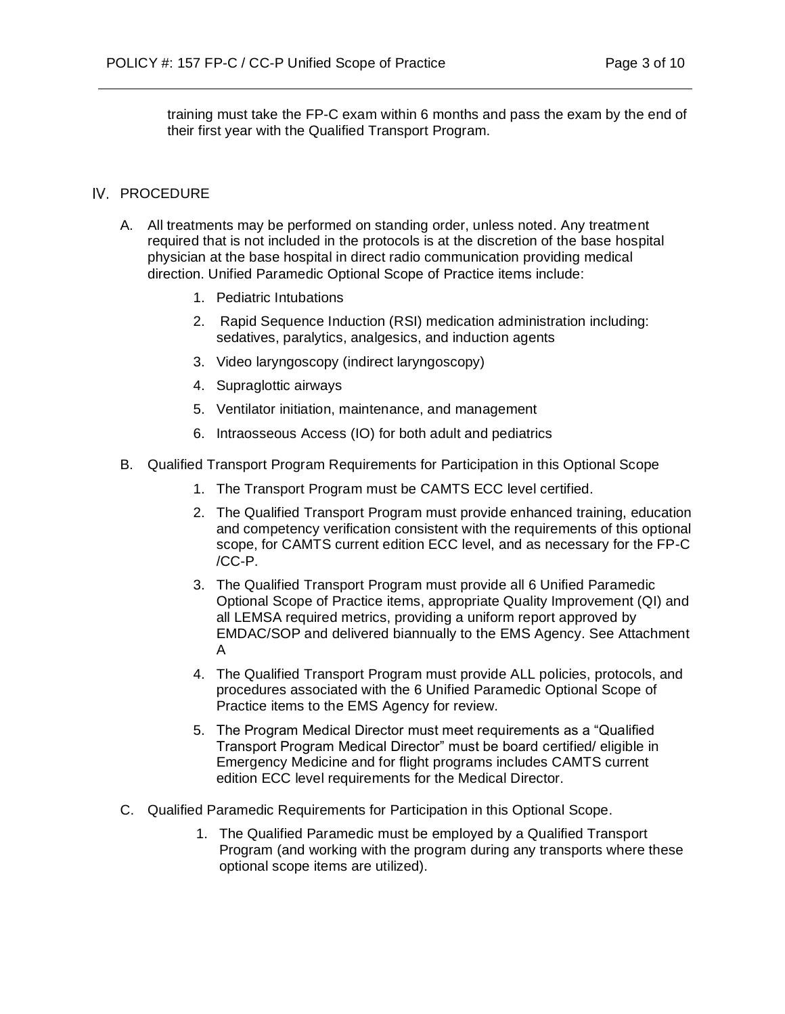training must take the FP-C exam within 6 months and pass the exam by the end of their first year with the Qualified Transport Program.

### IV. PROCEDURE

- A. All treatments may be performed on standing order, unless noted. Any treatment required that is not included in the protocols is at the discretion of the base hospital physician at the base hospital in direct radio communication providing medical direction. Unified Paramedic Optional Scope of Practice items include:
	- 1. Pediatric Intubations
	- 2. Rapid Sequence Induction (RSI) medication administration including: sedatives, paralytics, analgesics, and induction agents
	- 3. Video laryngoscopy (indirect laryngoscopy)
	- 4. Supraglottic airways
	- 5. Ventilator initiation, maintenance, and management
	- 6. Intraosseous Access (IO) for both adult and pediatrics
- B. Qualified Transport Program Requirements for Participation in this Optional Scope
	- 1. The Transport Program must be CAMTS ECC level certified.
	- 2. The Qualified Transport Program must provide enhanced training, education and competency verification consistent with the requirements of this optional scope, for CAMTS current edition ECC level, and as necessary for the FP-C /CC-P.
	- 3. The Qualified Transport Program must provide all 6 Unified Paramedic Optional Scope of Practice items, appropriate Quality Improvement (QI) and all LEMSA required metrics, providing a uniform report approved by EMDAC/SOP and delivered biannually to the EMS Agency. See Attachment A
	- 4. The Qualified Transport Program must provide ALL policies, protocols, and procedures associated with the 6 Unified Paramedic Optional Scope of Practice items to the EMS Agency for review.
	- 5. The Program Medical Director must meet requirements as a "Qualified Transport Program Medical Director" must be board certified/ eligible in Emergency Medicine and for flight programs includes CAMTS current edition ECC level requirements for the Medical Director.
- C. Qualified Paramedic Requirements for Participation in this Optional Scope.
	- 1. The Qualified Paramedic must be employed by a Qualified Transport Program (and working with the program during any transports where these optional scope items are utilized).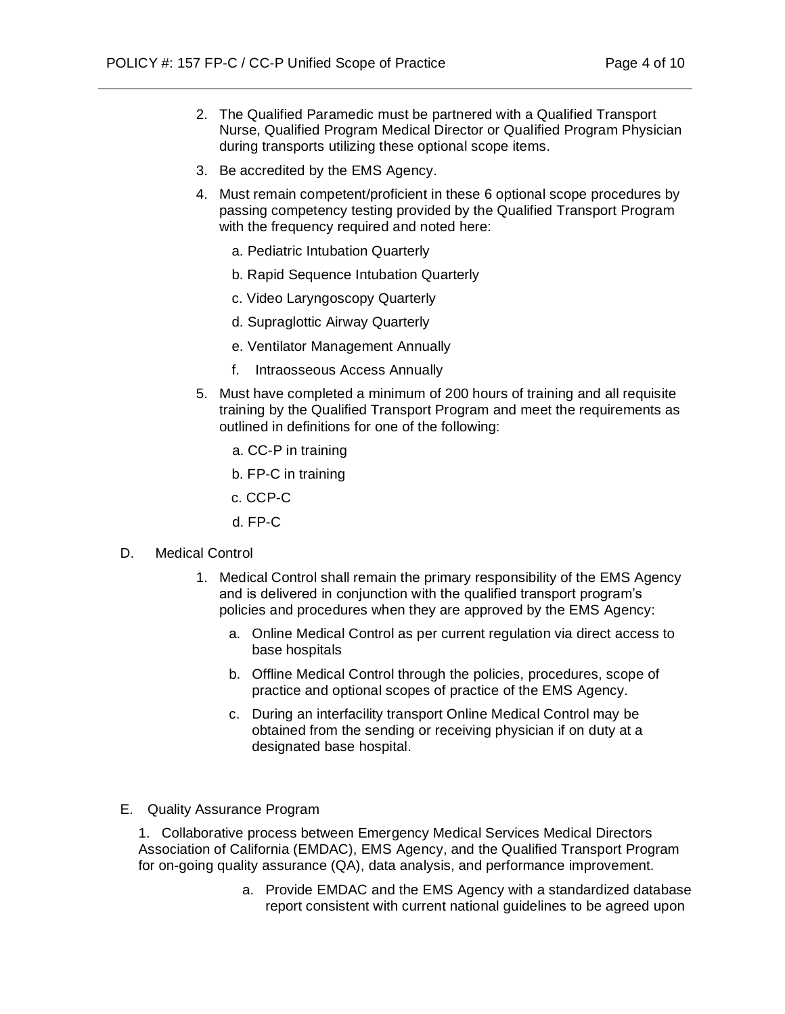- 2. The Qualified Paramedic must be partnered with a Qualified Transport Nurse, Qualified Program Medical Director or Qualified Program Physician during transports utilizing these optional scope items.
- 3. Be accredited by the EMS Agency.
- 4. Must remain competent/proficient in these 6 optional scope procedures by passing competency testing provided by the Qualified Transport Program with the frequency required and noted here:
	- a. Pediatric Intubation Quarterly
	- b. Rapid Sequence Intubation Quarterly
	- c. Video Laryngoscopy Quarterly
	- d. Supraglottic Airway Quarterly
	- e. Ventilator Management Annually
	- f. Intraosseous Access Annually
- 5. Must have completed a minimum of 200 hours of training and all requisite training by the Qualified Transport Program and meet the requirements as outlined in definitions for one of the following:
	- a. CC-P in training
	- b. FP-C in training
	- c. CCP-C
	- d. FP-C
- D. Medical Control
	- 1. Medical Control shall remain the primary responsibility of the EMS Agency and is delivered in conjunction with the qualified transport program's policies and procedures when they are approved by the EMS Agency:
		- a. Online Medical Control as per current regulation via direct access to base hospitals
		- b. Offline Medical Control through the policies, procedures, scope of practice and optional scopes of practice of the EMS Agency.
		- c. During an interfacility transport Online Medical Control may be obtained from the sending or receiving physician if on duty at a designated base hospital.
- E. Quality Assurance Program

1. Collaborative process between Emergency Medical Services Medical Directors Association of California (EMDAC), EMS Agency, and the Qualified Transport Program for on-going quality assurance (QA), data analysis, and performance improvement.

> a. Provide EMDAC and the EMS Agency with a standardized database report consistent with current national guidelines to be agreed upon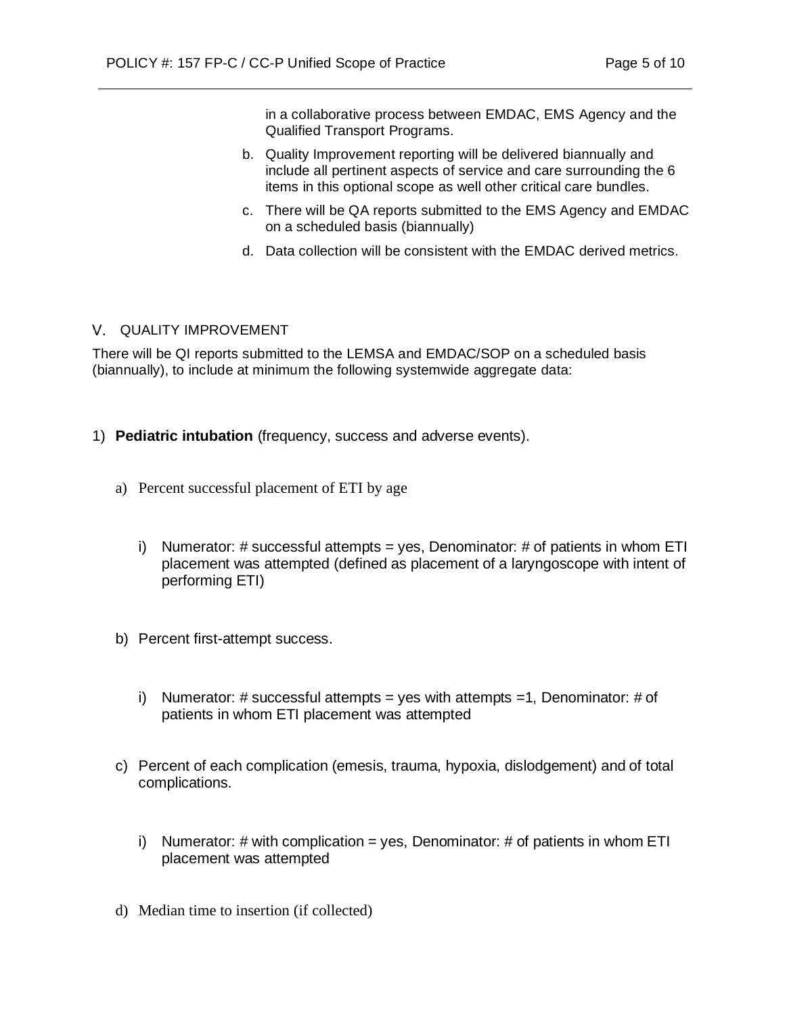in a collaborative process between EMDAC, EMS Agency and the Qualified Transport Programs.

- b. Quality Improvement reporting will be delivered biannually and include all pertinent aspects of service and care surrounding the 6 items in this optional scope as well other critical care bundles.
- c. There will be QA reports submitted to the EMS Agency and EMDAC on a scheduled basis (biannually)
- d. Data collection will be consistent with the EMDAC derived metrics.

#### V. QUALITY IMPROVEMENT

There will be QI reports submitted to the LEMSA and EMDAC/SOP on a scheduled basis (biannually), to include at minimum the following systemwide aggregate data:

- 1) **Pediatric intubation** (frequency, success and adverse events).
	- a) Percent successful placement of ETI by age
		- i) Numerator:  $\#$  successful attempts = yes, Denominator:  $\#$  of patients in whom ETI placement was attempted (defined as placement of a laryngoscope with intent of performing ETI)
	- b) Percent first-attempt success.
		- i) Numerator:  $\#$  successful attempts = yes with attempts =1, Denominator:  $\#$  of patients in whom ETI placement was attempted
	- c) Percent of each complication (emesis, trauma, hypoxia, dislodgement) and of total complications.
		- i) Numerator:  $\#$  with complication = yes, Denominator:  $\#$  of patients in whom ETI placement was attempted
	- d) Median time to insertion (if collected)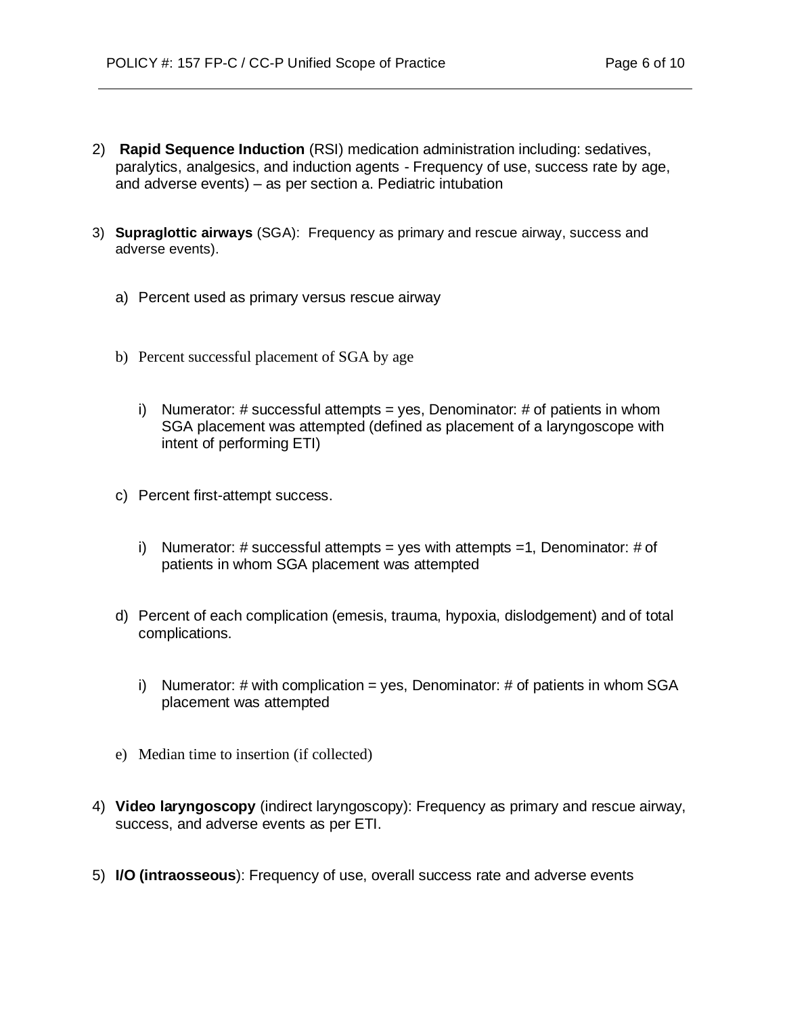- 2) **Rapid Sequence Induction** (RSI) medication administration including: sedatives, paralytics, analgesics, and induction agents - Frequency of use, success rate by age, and adverse events) – as per section a. Pediatric intubation
- 3) **Supraglottic airways** (SGA): Frequency as primary and rescue airway, success and adverse events).
	- a) Percent used as primary versus rescue airway
	- b) Percent successful placement of SGA by age
		- i) Numerator: # successful attempts = yes, Denominator: # of patients in whom SGA placement was attempted (defined as placement of a laryngoscope with intent of performing ETI)
	- c) Percent first-attempt success.
		- i) Numerator: # successful attempts = yes with attempts =1, Denominator: # of patients in whom SGA placement was attempted
	- d) Percent of each complication (emesis, trauma, hypoxia, dislodgement) and of total complications.
		- i) Numerator:  $\#$  with complication = yes, Denominator:  $\#$  of patients in whom SGA placement was attempted
	- e) Median time to insertion (if collected)
- 4) **Video laryngoscopy** (indirect laryngoscopy): Frequency as primary and rescue airway, success, and adverse events as per ETI.
- 5) **I/O (intraosseous**): Frequency of use, overall success rate and adverse events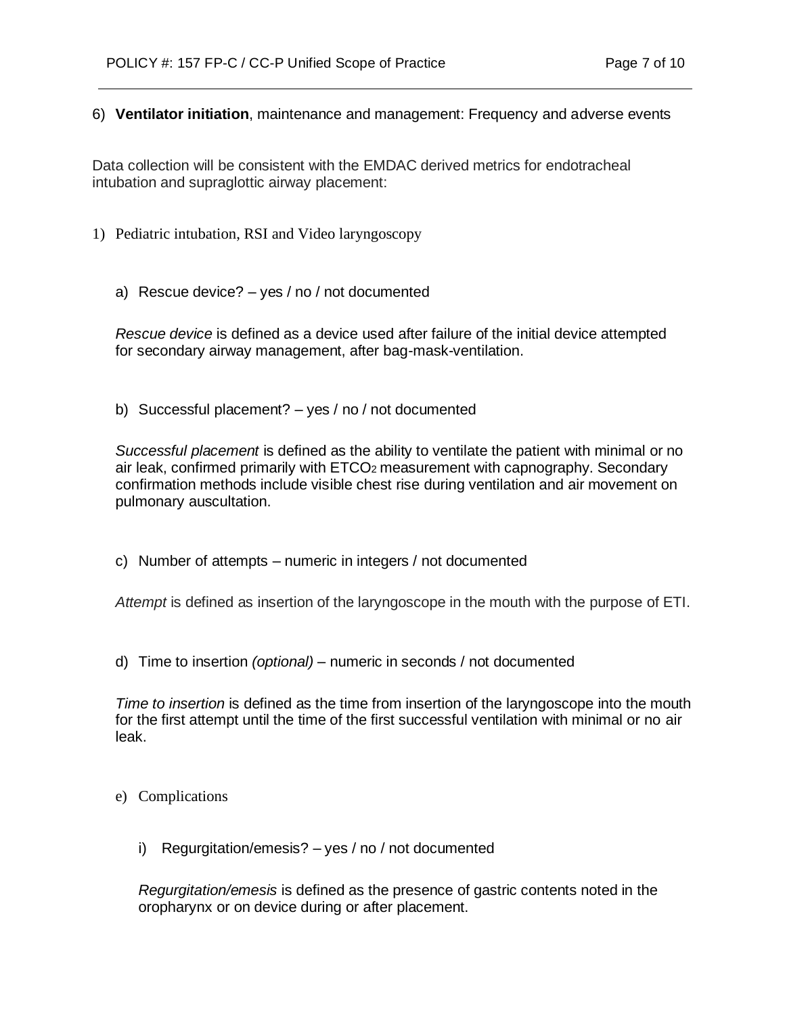#### 6) **Ventilator initiation**, maintenance and management: Frequency and adverse events

Data collection will be consistent with the EMDAC derived metrics for endotracheal intubation and supraglottic airway placement:

- 1) Pediatric intubation, RSI and Video laryngoscopy
	- a) Rescue device? yes / no / not documented

*Rescue device* is defined as a device used after failure of the initial device attempted for secondary airway management, after bag-mask-ventilation.

b) Successful placement? – yes / no / not documented

*Successful placement* is defined as the ability to ventilate the patient with minimal or no air leak, confirmed primarily with ETCO2 measurement with capnography. Secondary confirmation methods include visible chest rise during ventilation and air movement on pulmonary auscultation.

c) Number of attempts – numeric in integers / not documented

*Attempt* is defined as insertion of the laryngoscope in the mouth with the purpose of ETI.

d) Time to insertion *(optional)* – numeric in seconds / not documented

*Time to insertion* is defined as the time from insertion of the laryngoscope into the mouth for the first attempt until the time of the first successful ventilation with minimal or no air leak.

- e) Complications
	- i) Regurgitation/emesis? yes / no / not documented

*Regurgitation/emesis* is defined as the presence of gastric contents noted in the oropharynx or on device during or after placement.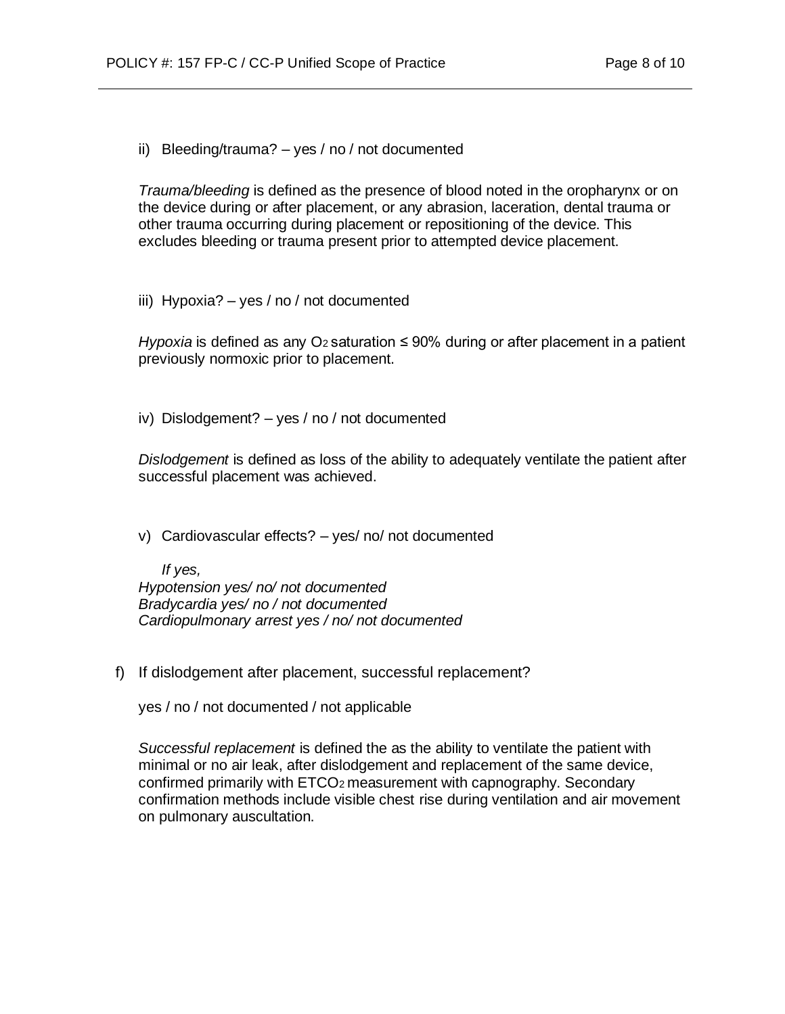ii) Bleeding/trauma? – yes / no / not documented

*Trauma/bleeding* is defined as the presence of blood noted in the oropharynx or on the device during or after placement, or any abrasion, laceration, dental trauma or other trauma occurring during placement or repositioning of the device. This excludes bleeding or trauma present prior to attempted device placement.

iii) Hypoxia? – yes / no / not documented

*Hypoxia* is defined as any O<sub>2</sub> saturation ≤ 90% during or after placement in a patient previously normoxic prior to placement.

iv) Dislodgement? – yes / no / not documented

*Dislodgement* is defined as loss of the ability to adequately ventilate the patient after successful placement was achieved.

v) Cardiovascular effects? – yes/ no/ not documented

*If yes, Hypotension yes/ no/ not documented Bradycardia yes/ no / not documented Cardiopulmonary arrest yes / no/ not documented*

f) If dislodgement after placement, successful replacement?

yes / no / not documented / not applicable

*Successful replacement* is defined the as the ability to ventilate the patient with minimal or no air leak, after dislodgement and replacement of the same device, confirmed primarily with ETCO2 measurement with capnography. Secondary confirmation methods include visible chest rise during ventilation and air movement on pulmonary auscultation.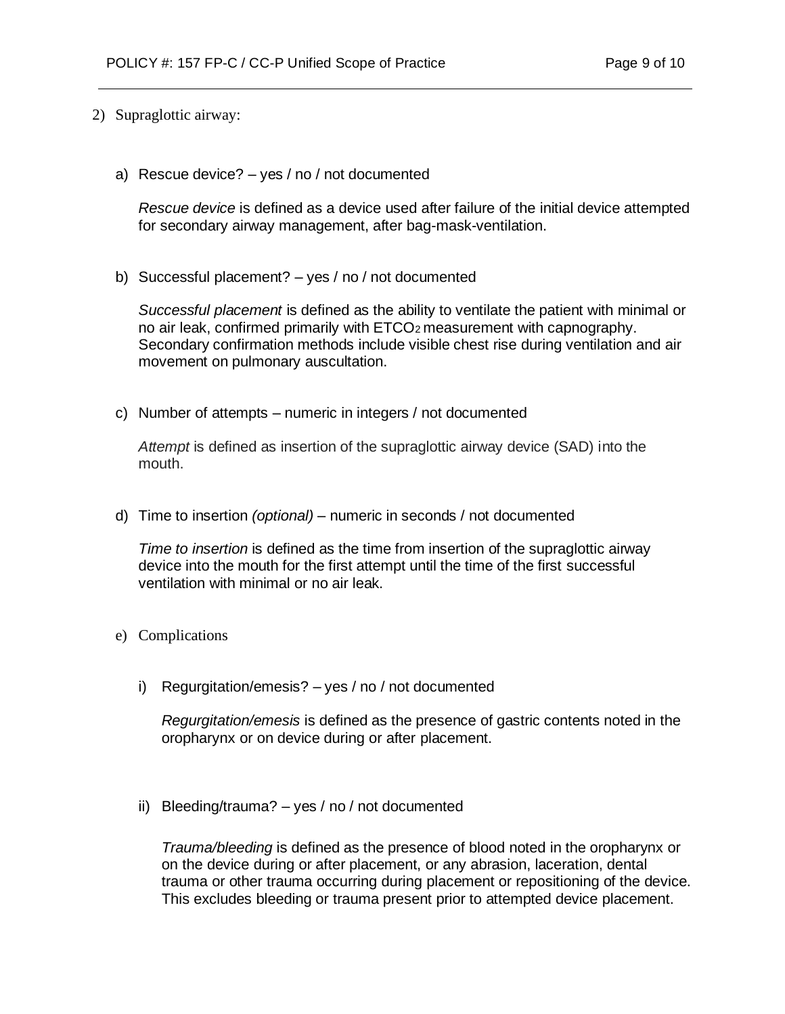- 2) Supraglottic airway:
	- a) Rescue device? yes / no / not documented

*Rescue device* is defined as a device used after failure of the initial device attempted for secondary airway management, after bag-mask-ventilation.

b) Successful placement? – yes / no / not documented

*Successful placement* is defined as the ability to ventilate the patient with minimal or no air leak, confirmed primarily with ETCO2 measurement with capnography. Secondary confirmation methods include visible chest rise during ventilation and air movement on pulmonary auscultation.

c) Number of attempts – numeric in integers / not documented

*Attempt* is defined as insertion of the supraglottic airway device (SAD) into the mouth.

d) Time to insertion *(optional)* – numeric in seconds / not documented

*Time to insertion* is defined as the time from insertion of the supraglottic airway device into the mouth for the first attempt until the time of the first successful ventilation with minimal or no air leak.

- e) Complications
	- i) Regurgitation/emesis? yes / no / not documented

*Regurgitation/emesis* is defined as the presence of gastric contents noted in the oropharynx or on device during or after placement.

ii) Bleeding/trauma? – yes / no / not documented

*Trauma/bleeding* is defined as the presence of blood noted in the oropharynx or on the device during or after placement, or any abrasion, laceration, dental trauma or other trauma occurring during placement or repositioning of the device. This excludes bleeding or trauma present prior to attempted device placement.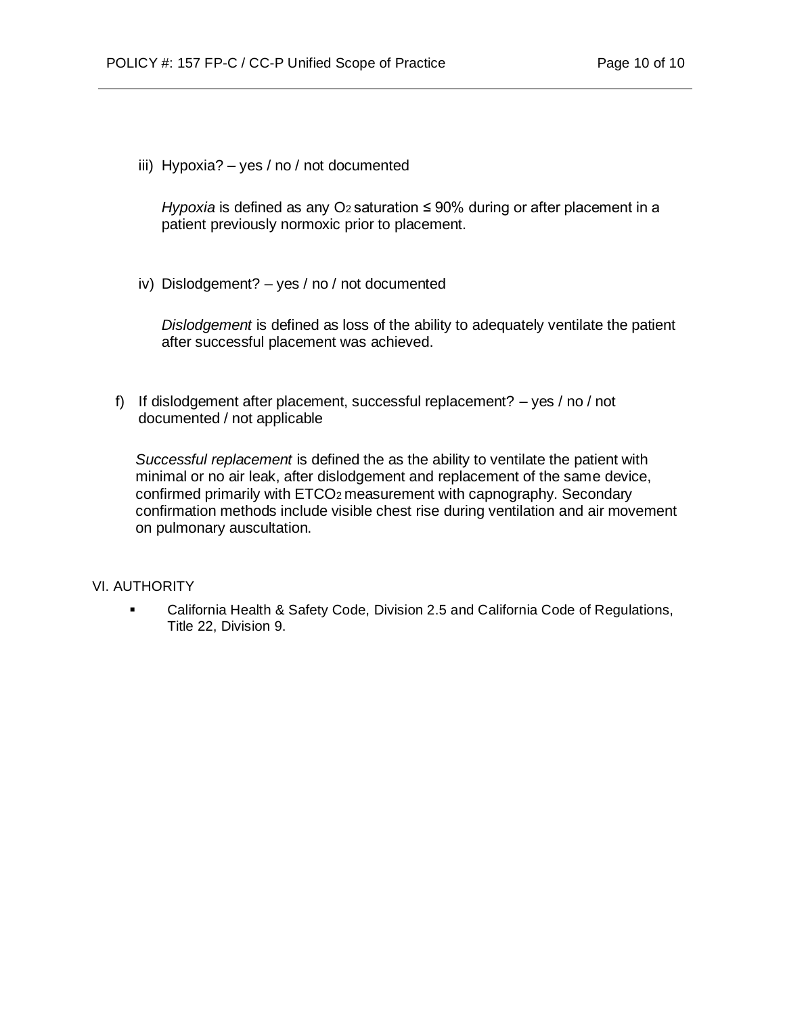iii) Hypoxia? – yes / no / not documented

*Hypoxia* is defined as any O<sub>2</sub> saturation ≤ 90% during or after placement in a patient previously normoxic prior to placement.

iv) Dislodgement? – yes / no / not documented

*Dislodgement* is defined as loss of the ability to adequately ventilate the patient after successful placement was achieved.

f) If dislodgement after placement, successful replacement? – yes / no / not documented / not applicable

*Successful replacement* is defined the as the ability to ventilate the patient with minimal or no air leak, after dislodgement and replacement of the same device, confirmed primarily with ETCO2 measurement with capnography. Secondary confirmation methods include visible chest rise during ventilation and air movement on pulmonary auscultation.

### VI. AUTHORITY

▪ California Health & Safety Code, Division 2.5 and California Code of Regulations, Title 22, Division 9.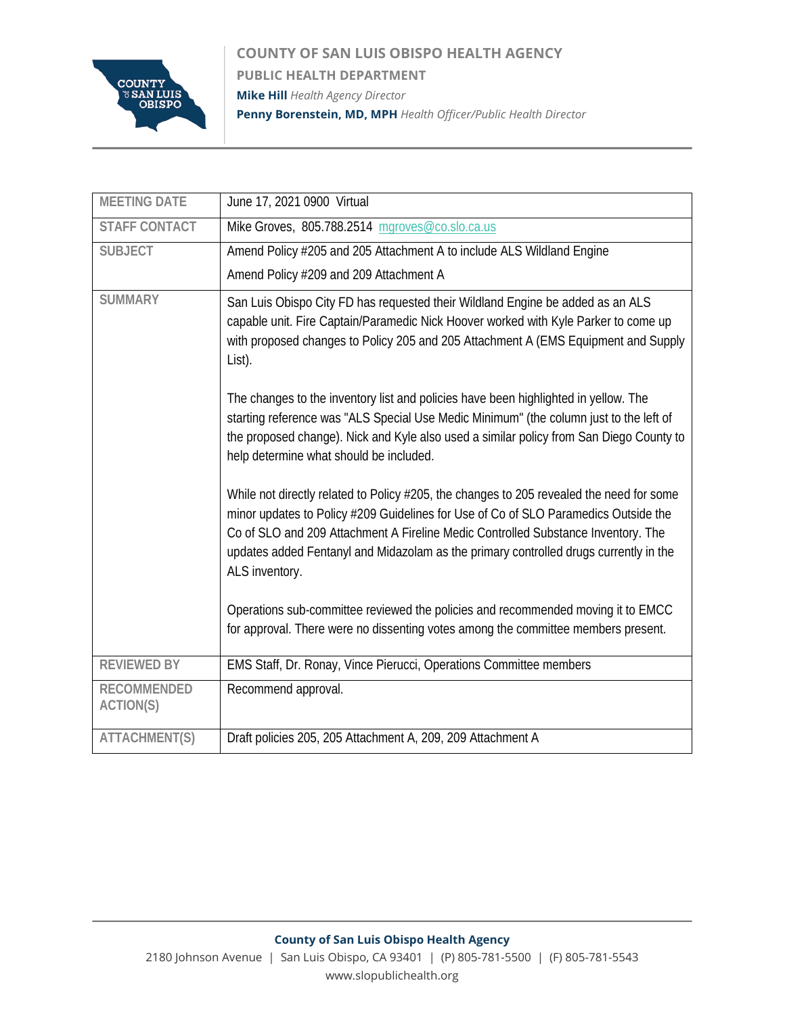

**COUNTY OF SAN LUIS OBISPO HEALTH AGENCY PUBLIC HEALTH DEPARTMENT Mike Hill** *Health Agency Director* **Penny Borenstein, MD, MPH** *Health Officer/Public Health Director*

| <b>MEETING DATE</b>                    | June 17, 2021 0900 Virtual                                                                                                                                                                                                                                                                                                                                                                                                                                                                                                                                                                                                                                                                                                                                                                                                                                                                                                                                                      |
|----------------------------------------|---------------------------------------------------------------------------------------------------------------------------------------------------------------------------------------------------------------------------------------------------------------------------------------------------------------------------------------------------------------------------------------------------------------------------------------------------------------------------------------------------------------------------------------------------------------------------------------------------------------------------------------------------------------------------------------------------------------------------------------------------------------------------------------------------------------------------------------------------------------------------------------------------------------------------------------------------------------------------------|
| <b>STAFF CONTACT</b>                   | Mike Groves, 805.788.2514 mgroves@co.slo.ca.us                                                                                                                                                                                                                                                                                                                                                                                                                                                                                                                                                                                                                                                                                                                                                                                                                                                                                                                                  |
| <b>SUBJECT</b>                         | Amend Policy #205 and 205 Attachment A to include ALS Wildland Engine                                                                                                                                                                                                                                                                                                                                                                                                                                                                                                                                                                                                                                                                                                                                                                                                                                                                                                           |
|                                        | Amend Policy #209 and 209 Attachment A                                                                                                                                                                                                                                                                                                                                                                                                                                                                                                                                                                                                                                                                                                                                                                                                                                                                                                                                          |
| <b>SUMMARY</b>                         | San Luis Obispo City FD has requested their Wildland Engine be added as an ALS<br>capable unit. Fire Captain/Paramedic Nick Hoover worked with Kyle Parker to come up<br>with proposed changes to Policy 205 and 205 Attachment A (EMS Equipment and Supply<br>List).<br>The changes to the inventory list and policies have been highlighted in yellow. The<br>starting reference was "ALS Special Use Medic Minimum" (the column just to the left of<br>the proposed change). Nick and Kyle also used a similar policy from San Diego County to<br>help determine what should be included.<br>While not directly related to Policy #205, the changes to 205 revealed the need for some<br>minor updates to Policy #209 Guidelines for Use of Co of SLO Paramedics Outside the<br>Co of SLO and 209 Attachment A Fireline Medic Controlled Substance Inventory. The<br>updates added Fentanyl and Midazolam as the primary controlled drugs currently in the<br>ALS inventory. |
|                                        | Operations sub-committee reviewed the policies and recommended moving it to EMCC<br>for approval. There were no dissenting votes among the committee members present.                                                                                                                                                                                                                                                                                                                                                                                                                                                                                                                                                                                                                                                                                                                                                                                                           |
| <b>REVIEWED BY</b>                     | EMS Staff, Dr. Ronay, Vince Pierucci, Operations Committee members                                                                                                                                                                                                                                                                                                                                                                                                                                                                                                                                                                                                                                                                                                                                                                                                                                                                                                              |
| <b>RECOMMENDED</b><br><b>ACTION(S)</b> | Recommend approval.                                                                                                                                                                                                                                                                                                                                                                                                                                                                                                                                                                                                                                                                                                                                                                                                                                                                                                                                                             |
| <b>ATTACHMENT(S)</b>                   | Draft policies 205, 205 Attachment A, 209, 209 Attachment A                                                                                                                                                                                                                                                                                                                                                                                                                                                                                                                                                                                                                                                                                                                                                                                                                                                                                                                     |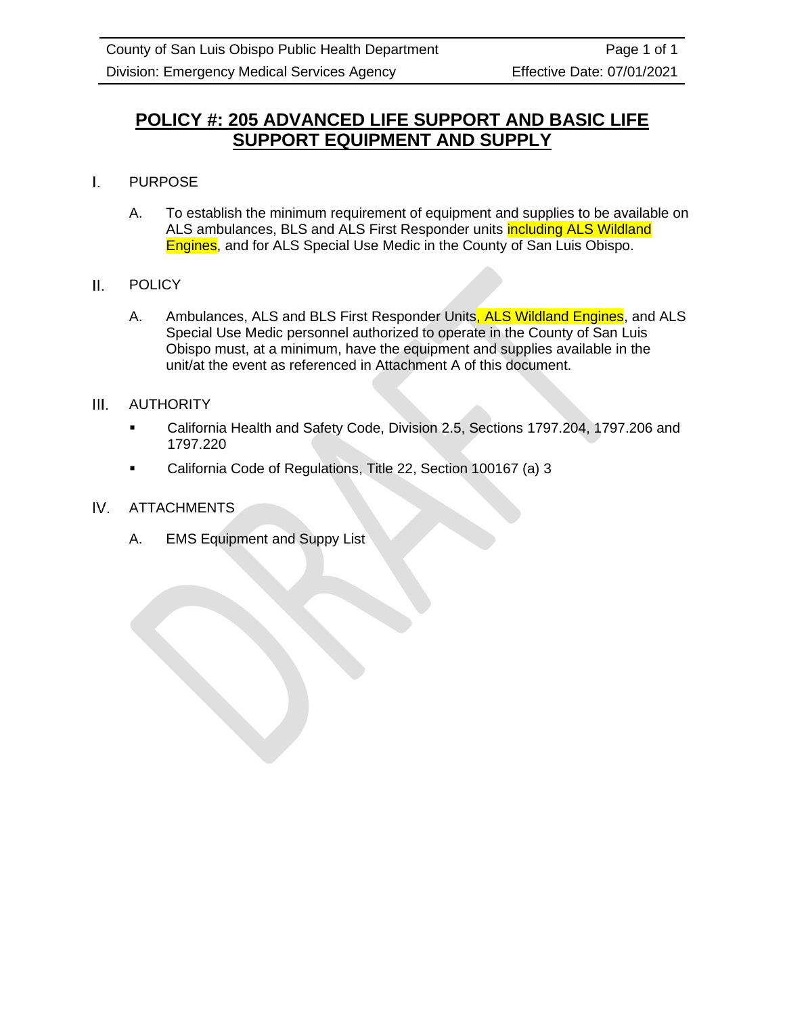# **POLICY #: 205 ADVANCED LIFE SUPPORT AND BASIC LIFE SUPPORT EQUIPMENT AND SUPPLY**

- $\mathbf{L}$ PURPOSE
	- A. To establish the minimum requirement of equipment and supplies to be available on ALS ambulances, BLS and ALS First Responder units *including ALS Wildland* Engines, and for ALS Special Use Medic in the County of San Luis Obispo.
- **POLICY** Ш.
	- A. Ambulances, ALS and BLS First Responder Units, ALS Wildland Engines, and ALS Special Use Medic personnel authorized to operate in the County of San Luis Obispo must, at a minimum, have the equipment and supplies available in the unit/at the event as referenced in Attachment A of this document.
- AUTHORITY  $III.$ 
	- California Health and Safety Code, Division 2.5, Sections 1797.204, 1797.206 and 1797.220
	- California Code of Regulations, Title 22, Section 100167 (a) 3
- $IV.$ ATTACHMENTS
	- A. EMS Equipment and Suppy List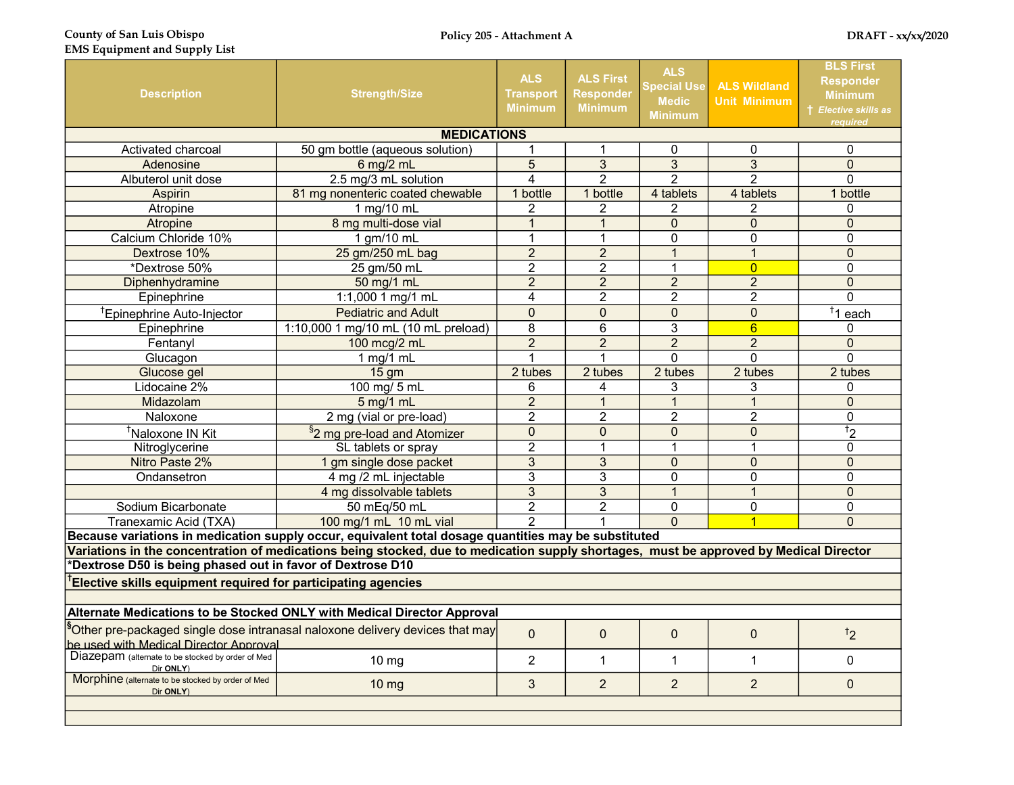County of San Luis Obispo EMS Equipment and Supply List

| <b>Description</b>                                                   | <b>Strength/Size</b>                                                                                                                   | <b>ALS</b><br><b>Transport</b><br><b>Minimum</b> | <b>ALS First</b><br><b>Responder</b><br><b>Minimum</b> | <b>ALS</b><br><b>Special Use</b><br><b>Medic</b><br><b>Minimum</b> | <b>ALS Wildland</b><br><b>Unit Minimum</b> | <b>BLS First</b><br><b>Responder</b><br><b>Minimum</b><br><b>† Elective skills as</b><br>required |
|----------------------------------------------------------------------|----------------------------------------------------------------------------------------------------------------------------------------|--------------------------------------------------|--------------------------------------------------------|--------------------------------------------------------------------|--------------------------------------------|---------------------------------------------------------------------------------------------------|
|                                                                      | <b>MEDICATIONS</b>                                                                                                                     |                                                  |                                                        |                                                                    |                                            |                                                                                                   |
| <b>Activated charcoal</b>                                            | 50 gm bottle (aqueous solution)                                                                                                        | 1                                                | 1                                                      | 0                                                                  | $\Omega$                                   | 0                                                                                                 |
| Adenosine                                                            | 6 mg/2 mL                                                                                                                              | $\overline{5}$                                   | $\overline{3}$                                         | $\overline{3}$                                                     | $\overline{3}$                             | $\overline{0}$                                                                                    |
| Albuterol unit dose                                                  | 2.5 mg/3 mL solution                                                                                                                   | 4                                                | $\overline{2}$                                         | $\overline{2}$                                                     | $\overline{2}$                             | $\Omega$                                                                                          |
| <b>Aspirin</b>                                                       | 81 mg nonenteric coated chewable                                                                                                       | 1 bottle                                         | 1 bottle                                               | 4 tablets                                                          | 4 tablets                                  | 1 bottle                                                                                          |
| Atropine                                                             | 1 mg/10 mL                                                                                                                             | $\overline{2}$                                   | 2                                                      | 2                                                                  | 2                                          | 0                                                                                                 |
| Atropine                                                             | 8 mg multi-dose vial                                                                                                                   | $\overline{1}$                                   | $\mathbf{1}$                                           | $\mathbf 0$                                                        | $\Omega$                                   | $\mathbf 0$                                                                                       |
| Calcium Chloride 10%                                                 | 1 gm/10 mL                                                                                                                             | $\mathbf{1}$                                     | 1                                                      | 0                                                                  | $\mathbf 0$                                | 0                                                                                                 |
| Dextrose 10%                                                         | 25 gm/250 mL bag                                                                                                                       | $\overline{2}$                                   | $\overline{2}$                                         | $\mathbf{1}$                                                       | $\mathbf{1}$                               | $\overline{0}$                                                                                    |
| *Dextrose 50%                                                        | 25 gm/50 mL                                                                                                                            | $\overline{2}$                                   | $\overline{2}$                                         | $\mathbf{1}$                                                       | $\overline{0}$                             | 0                                                                                                 |
| Diphenhydramine                                                      | 50 mg/1 mL                                                                                                                             | $\overline{2}$                                   | $\overline{2}$                                         | $\overline{2}$                                                     | $\overline{2}$                             | $\mathbf 0$                                                                                       |
| Epinephrine                                                          | 1:1,000 1 mg/1 mL                                                                                                                      | $\overline{4}$                                   | $\overline{2}$                                         | $\overline{2}$                                                     | $\overline{2}$                             | 0                                                                                                 |
| <sup>†</sup> Epinephrine Auto-Injector                               | <b>Pediatric and Adult</b>                                                                                                             | $\overline{0}$                                   | $\overline{0}$                                         | $\overline{0}$                                                     | $\overline{0}$                             | $\overline{1}$ 1 each                                                                             |
| Epinephrine                                                          | 1:10,000 1 mg/10 mL (10 mL preload)                                                                                                    | $\overline{8}$                                   | 6                                                      | 3                                                                  | $6\overline{}$                             | $\Omega$                                                                                          |
| Fentanyl                                                             | 100 mcg/2 mL                                                                                                                           | $\overline{2}$                                   | $\overline{2}$                                         | $\overline{2}$                                                     | $\overline{2}$                             | $\mathbf 0$                                                                                       |
| Glucagon                                                             | 1 mg/1 mL                                                                                                                              | 1                                                | 1                                                      | $\Omega$                                                           | $\Omega$                                   | $\Omega$                                                                                          |
| Glucose gel                                                          | 15 <sub>gm</sub>                                                                                                                       | 2 tubes                                          | 2 tubes                                                | 2 tubes                                                            | 2 tubes                                    | 2 tubes                                                                                           |
| Lidocaine 2%                                                         | 100 mg/ 5 mL                                                                                                                           | 6                                                | 4                                                      | 3                                                                  | 3                                          | 0                                                                                                 |
| Midazolam                                                            | 5 mg/1 mL                                                                                                                              | $\overline{2}$                                   | $\mathbf{1}$                                           | $\mathbf{1}$                                                       | $\mathbf{1}$                               | $\overline{0}$                                                                                    |
| Naloxone                                                             | 2 mg (vial or pre-load)                                                                                                                | $\overline{2}$                                   | $\overline{2}$                                         | $\overline{2}$                                                     | $\overline{2}$                             | 0                                                                                                 |
| <sup>†</sup> Naloxone IN Kit                                         | <sup>§</sup> 2 mg pre-load and Atomizer                                                                                                | $\overline{0}$                                   | $\overline{0}$                                         | $\mathbf 0$                                                        | $\mathbf 0$                                | $\overline{12}$                                                                                   |
| Nitroglycerine                                                       | SL tablets or spray                                                                                                                    | $\overline{2}$                                   | $\overline{1}$                                         | $\mathbf{1}$                                                       | 1                                          | 0                                                                                                 |
| Nitro Paste 2%                                                       | 1 gm single dose packet                                                                                                                | $\overline{3}$                                   | $\overline{3}$                                         | $\overline{0}$                                                     | $\Omega$                                   | $\overline{0}$                                                                                    |
| Ondansetron                                                          | 4 mg /2 mL injectable                                                                                                                  | $\overline{3}$                                   | $\overline{3}$                                         | 0                                                                  | $\Omega$                                   | 0                                                                                                 |
|                                                                      | 4 mg dissolvable tablets                                                                                                               | $\overline{3}$                                   | 3                                                      | $\mathbf{1}$                                                       | $\mathbf{1}$                               | $\mathbf 0$                                                                                       |
| Sodium Bicarbonate                                                   | 50 mEg/50 mL                                                                                                                           | $\overline{c}$                                   | $\overline{2}$                                         | 0                                                                  | $\Omega$                                   | 0                                                                                                 |
| Tranexamic Acid (TXA)                                                | 100 mg/1 mL 10 mL vial                                                                                                                 | $\overline{2}$                                   | 1                                                      | $\overline{0}$                                                     | $\overline{1}$                             | $\mathbf 0$                                                                                       |
|                                                                      | Because variations in medication supply occur, equivalent total dosage quantities may be substituted                                   |                                                  |                                                        |                                                                    |                                            |                                                                                                   |
|                                                                      | Variations in the concentration of medications being stocked, due to medication supply shortages, must be approved by Medical Director |                                                  |                                                        |                                                                    |                                            |                                                                                                   |
| *Dextrose D50 is being phased out in favor of Dextrose D10           |                                                                                                                                        |                                                  |                                                        |                                                                    |                                            |                                                                                                   |
| <b>Elective skills equipment required for participating agencies</b> |                                                                                                                                        |                                                  |                                                        |                                                                    |                                            |                                                                                                   |
|                                                                      |                                                                                                                                        |                                                  |                                                        |                                                                    |                                            |                                                                                                   |
|                                                                      | Alternate Medications to be Stocked ONLY with Medical Director Approval                                                                |                                                  |                                                        |                                                                    |                                            |                                                                                                   |
| be used with Medical Director Approval                               | <sup>§</sup> Other pre-packaged single dose intranasal naloxone delivery devices that may                                              | $\Omega$                                         | $\Omega$                                               | $\mathbf 0$                                                        | $\Omega$                                   | $\overline{2}$                                                                                    |
| Diazepam (alternate to be stocked by order of Med<br>Dir ONLY)       | $10 \text{ mg}$                                                                                                                        | $\overline{2}$                                   | $\mathbf{1}$                                           | $\mathbf{1}$                                                       | $\mathbf{1}$                               | 0                                                                                                 |
| Morphine (alternate to be stocked by order of Med<br>Dir ONLY)       | $10 \text{ mg}$                                                                                                                        | 3                                                | $\overline{2}$                                         | $\overline{2}$                                                     | $\overline{2}$                             | $\mathbf 0$                                                                                       |
|                                                                      |                                                                                                                                        |                                                  |                                                        |                                                                    |                                            |                                                                                                   |
|                                                                      |                                                                                                                                        |                                                  |                                                        |                                                                    |                                            |                                                                                                   |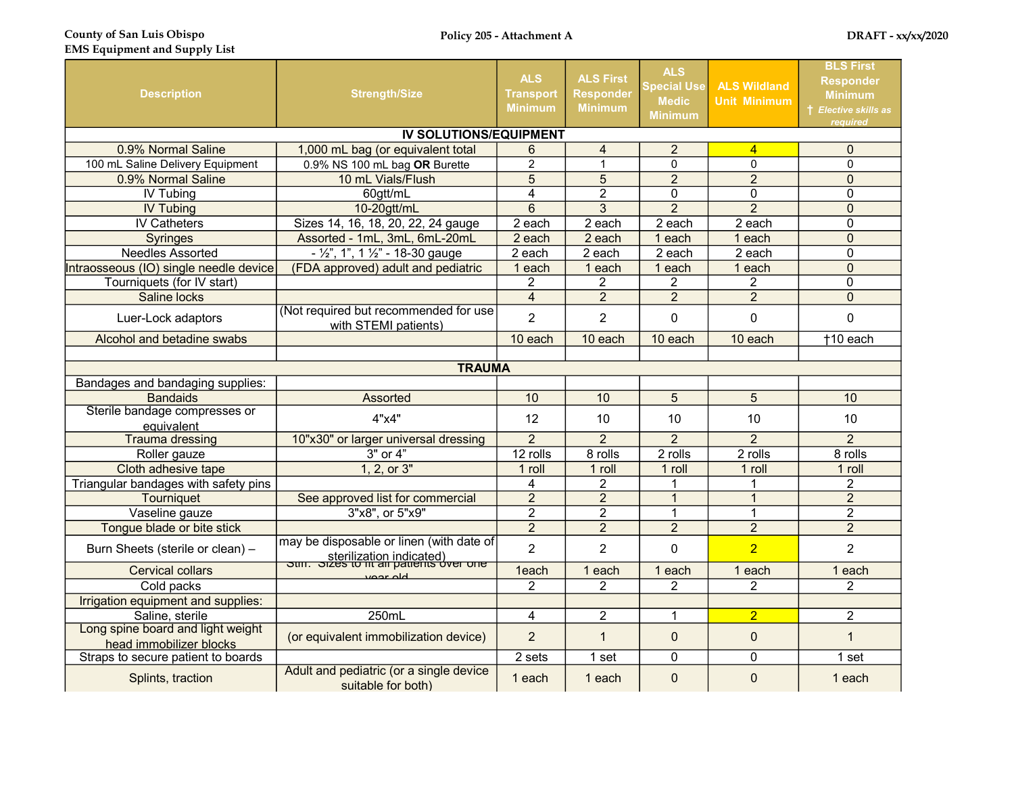| <b>Description</b><br><b>Strength/Size</b>                                          |                                                                                                              | <b>ALS</b><br><b>Transport</b><br><b>Minimum</b> | <b>ALS First</b><br><b>Responder</b><br><b>Minimum</b> | <b>ALS</b><br><b>Special Use</b><br><b>Medic</b><br><b>Minimum</b> | <b>ALS Wildland</b><br><b>Unit Minimum</b> | <b>BLS First</b><br><b>Responder</b><br><b>Minimum</b><br>† Elective skills as<br>reauired |
|-------------------------------------------------------------------------------------|--------------------------------------------------------------------------------------------------------------|--------------------------------------------------|--------------------------------------------------------|--------------------------------------------------------------------|--------------------------------------------|--------------------------------------------------------------------------------------------|
|                                                                                     | <b>IV SOLUTIONS/EQUIPMENT</b>                                                                                |                                                  |                                                        |                                                                    |                                            |                                                                                            |
| 0.9% Normal Saline                                                                  | 1,000 mL bag (or equivalent total                                                                            | 6                                                | $\overline{4}$                                         | $\overline{2}$                                                     | $\overline{4}$                             | $\overline{0}$                                                                             |
| 100 mL Saline Delivery Equipment                                                    | 0.9% NS 100 mL bag OR Burette                                                                                | $\overline{2}$                                   | $\mathbf{1}$                                           | $\Omega$                                                           | $\mathbf{0}$                               | $\Omega$                                                                                   |
| 0.9% Normal Saline                                                                  | 10 mL Vials/Flush                                                                                            | 5                                                | 5                                                      | $\overline{2}$                                                     | $\overline{2}$                             | $\mathbf 0$                                                                                |
| <b>IV Tubing</b>                                                                    | 60gtt/mL                                                                                                     | 4                                                | $\overline{c}$                                         | 0                                                                  | 0                                          | 0                                                                                          |
| <b>IV Tubing</b>                                                                    | 10-20gtt/mL                                                                                                  | $\overline{6}$                                   | $\overline{3}$                                         | $\overline{2}$                                                     | $\overline{2}$                             | $\mathbf 0$                                                                                |
| <b>IV Catheters</b>                                                                 | Sizes 14, 16, 18, 20, 22, 24 gauge                                                                           | 2 each                                           | 2 each                                                 | 2 each                                                             | 2 each                                     | 0                                                                                          |
| <b>Syringes</b>                                                                     | Assorted - 1mL, 3mL, 6mL-20mL                                                                                | 2 each                                           | 2 each                                                 | 1 each                                                             | 1 each                                     | $\mathbf 0$                                                                                |
| Needles Assorted                                                                    | $-$ 1/2", 1", 1 1/2" - 18-30 gauge                                                                           | 2 each                                           | $\overline{2}$ each                                    | 2 each                                                             | 2 each                                     | 0                                                                                          |
| Intraosseous (IO) single needle device                                              | (FDA approved) adult and pediatric                                                                           | 1 each                                           | 1 each                                                 | 1 each                                                             | 1 each                                     | $\overline{0}$                                                                             |
| Tourniquets (for IV start)                                                          |                                                                                                              | $\overline{2}$                                   | $\overline{2}$                                         | $\overline{c}$                                                     | $\overline{2}$                             | $\overline{0}$                                                                             |
| Saline locks                                                                        |                                                                                                              | $\overline{4}$                                   | $\overline{2}$                                         | $\overline{2}$                                                     | $\overline{2}$                             | $\overline{0}$                                                                             |
| (Not required but recommended for use<br>Luer-Lock adaptors<br>with STEMI patients) |                                                                                                              | $\overline{2}$                                   | $\overline{2}$                                         | 0                                                                  | $\overline{0}$                             | 0                                                                                          |
| Alcohol and betadine swabs                                                          |                                                                                                              | 10 each                                          | 10 each                                                | 10 each                                                            | 10 each                                    | +10 each                                                                                   |
|                                                                                     |                                                                                                              |                                                  |                                                        |                                                                    |                                            |                                                                                            |
|                                                                                     | <b>TRAUMA</b>                                                                                                |                                                  |                                                        |                                                                    |                                            |                                                                                            |
| Bandages and bandaging supplies:                                                    |                                                                                                              |                                                  |                                                        |                                                                    |                                            |                                                                                            |
| <b>Bandaids</b>                                                                     | Assorted                                                                                                     | 10                                               | 10                                                     | 5                                                                  | 5                                          | 10                                                                                         |
| Sterile bandage compresses or<br>equivalent                                         | 4"x4"                                                                                                        | 12                                               | 10                                                     | 10                                                                 | 10                                         | 10                                                                                         |
| <b>Trauma dressing</b>                                                              | 10"x30" or larger universal dressing                                                                         | $\overline{2}$                                   | $\overline{2}$                                         | $\overline{2}$                                                     | $\overline{2}$                             | $\overline{2}$                                                                             |
| Roller gauze                                                                        | $3"$ or $4"$                                                                                                 | 12 rolls                                         | 8 rolls                                                | $\overline{2}$ rolls                                               | $\overline{2}$ rolls                       | 8 rolls                                                                                    |
| Cloth adhesive tape                                                                 | 1, 2, or 3"                                                                                                  | 1 roll                                           | 1 roll                                                 | 1 roll                                                             | 1 roll                                     | 1 roll                                                                                     |
| Triangular bandages with safety pins                                                |                                                                                                              | 4                                                | 2                                                      |                                                                    | 1                                          | $\overline{2}$                                                                             |
| Tourniquet                                                                          | See approved list for commercial                                                                             | $\overline{2}$                                   | $\overline{2}$                                         | $\mathbf{1}$                                                       | $\mathbf{1}$                               | $\overline{2}$                                                                             |
| Vaseline gauze                                                                      | 3"x8", or 5"x9"                                                                                              | $\overline{2}$                                   | $\overline{2}$                                         | $\mathbf 1$                                                        | $\mathbf{1}$                               | $\overline{2}$                                                                             |
| Tongue blade or bite stick                                                          |                                                                                                              | $\overline{2}$                                   | $\overline{2}$                                         | $\overline{2}$                                                     | $\overline{2}$                             | $\overline{2}$                                                                             |
| Burn Sheets (sterile or clean) -                                                    | may be disposable or linen (with date of<br>sterilization indicated)<br>our sizes to in an patients over one | $\overline{2}$                                   | $\overline{2}$                                         | 0                                                                  | $\overline{2}$                             | $\overline{2}$                                                                             |
| <b>Cervical collars</b>                                                             | أمام ممميز                                                                                                   |                                                  | 1 each                                                 | 1 each                                                             | 1 each                                     | 1 each                                                                                     |
| Cold packs                                                                          |                                                                                                              | 2                                                | $\overline{2}$                                         | $\overline{c}$                                                     | $\overline{2}$                             | $\overline{c}$                                                                             |
| Irrigation equipment and supplies:                                                  |                                                                                                              |                                                  |                                                        |                                                                    |                                            |                                                                                            |
| Saline, sterile                                                                     | 250mL                                                                                                        | 4                                                | $\overline{2}$                                         | 1                                                                  | $\overline{2}$                             | $\overline{2}$                                                                             |
| Long spine board and light weight<br>head immobilizer blocks                        | (or equivalent immobilization device)                                                                        | $\overline{2}$                                   | $\mathbf{1}$                                           | $\mathbf{0}$                                                       | $\mathbf 0$                                | $\mathbf{1}$                                                                               |
| Straps to secure patient to boards                                                  |                                                                                                              | 2 sets                                           | 1 set                                                  | 0                                                                  | 0                                          | 1 set                                                                                      |
| Splints, traction                                                                   | Adult and pediatric (or a single device<br>suitable for both)                                                | 1 each                                           | 1 each                                                 | $\mathbf 0$                                                        | $\mathbf 0$                                | 1 each                                                                                     |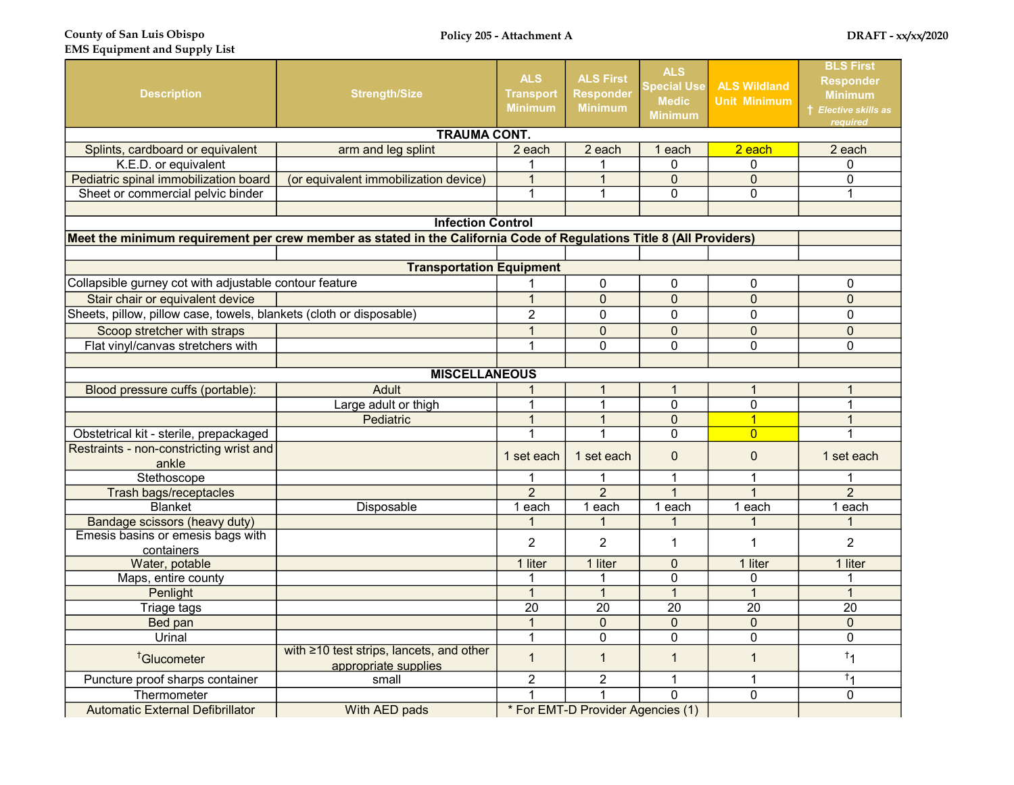County of San Luis Obispo EMS Equipment and Supply List

| <b>Description</b>                                                  | <b>Strength/Size</b>                                                                                                 | <b>ALS</b><br><b>Transport</b><br><b>Minimum</b> | <b>ALS First</b><br><b>Responder</b><br><b>Minimum</b> | <b>ALS</b><br><b>Special Use</b><br><b>Medic</b><br><b>Minimum</b> | <b>ALS Wildland</b><br><b>Unit Minimum</b> | <b>BLS First</b><br><b>Responder</b><br><b>Minimum</b><br>† Elective skills as<br>reauired |  |  |  |  |
|---------------------------------------------------------------------|----------------------------------------------------------------------------------------------------------------------|--------------------------------------------------|--------------------------------------------------------|--------------------------------------------------------------------|--------------------------------------------|--------------------------------------------------------------------------------------------|--|--|--|--|
|                                                                     | <b>TRAUMA CONT.</b>                                                                                                  |                                                  |                                                        |                                                                    |                                            |                                                                                            |  |  |  |  |
| Splints, cardboard or equivalent                                    | arm and leg splint                                                                                                   | 2 each                                           | 2 each                                                 | 1 each                                                             | $2$ each                                   | 2 each                                                                                     |  |  |  |  |
| K.E.D. or equivalent                                                |                                                                                                                      |                                                  | 1                                                      | $\Omega$                                                           | 0                                          | 0                                                                                          |  |  |  |  |
| Pediatric spinal immobilization board                               | (or equivalent immobilization device)                                                                                | $\overline{1}$                                   | $\mathbf{1}$                                           | $\overline{0}$                                                     | $\Omega$                                   | $\Omega$                                                                                   |  |  |  |  |
| Sheet or commercial pelvic binder                                   |                                                                                                                      | 1                                                | 1                                                      | $\Omega$                                                           | $\Omega$                                   | $\mathbf{1}$                                                                               |  |  |  |  |
|                                                                     |                                                                                                                      |                                                  |                                                        |                                                                    |                                            |                                                                                            |  |  |  |  |
|                                                                     | <b>Infection Control</b>                                                                                             |                                                  |                                                        |                                                                    |                                            |                                                                                            |  |  |  |  |
|                                                                     | Meet the minimum requirement per crew member as stated in the California Code of Regulations Title 8 (All Providers) |                                                  |                                                        |                                                                    |                                            |                                                                                            |  |  |  |  |
|                                                                     |                                                                                                                      |                                                  |                                                        |                                                                    |                                            |                                                                                            |  |  |  |  |
|                                                                     | <b>Transportation Equipment</b>                                                                                      |                                                  |                                                        |                                                                    |                                            |                                                                                            |  |  |  |  |
| Collapsible gurney cot with adjustable contour feature              |                                                                                                                      |                                                  | 0                                                      | $\mathbf{0}$                                                       | 0                                          | 0                                                                                          |  |  |  |  |
| Stair chair or equivalent device                                    |                                                                                                                      | $\mathbf{1}$                                     | $\mathbf 0$                                            | $\overline{0}$                                                     | $\overline{0}$                             | $\mathbf{0}$                                                                               |  |  |  |  |
| Sheets, pillow, pillow case, towels, blankets (cloth or disposable) |                                                                                                                      | $\overline{2}$                                   | 0                                                      | $\mathbf{0}$                                                       | 0                                          | $\mathbf{0}$                                                                               |  |  |  |  |
| Scoop stretcher with straps                                         |                                                                                                                      | $\overline{1}$                                   | $\pmb{0}$                                              | $\overline{0}$                                                     | $\overline{0}$                             | $\mathbf 0$                                                                                |  |  |  |  |
| Flat vinyl/canvas stretchers with                                   |                                                                                                                      |                                                  | $\Omega$                                               | $\Omega$                                                           | $\Omega$                                   | $\mathbf{0}$                                                                               |  |  |  |  |
|                                                                     |                                                                                                                      |                                                  |                                                        |                                                                    |                                            |                                                                                            |  |  |  |  |
|                                                                     | <b>MISCELLANEOUS</b>                                                                                                 |                                                  |                                                        |                                                                    |                                            |                                                                                            |  |  |  |  |
| Blood pressure cuffs (portable):                                    | Adult                                                                                                                |                                                  | 1                                                      | $\mathbf 1$                                                        | 1                                          | $\mathbf{1}$                                                                               |  |  |  |  |
|                                                                     | Large adult or thigh                                                                                                 | 1                                                | $\overline{1}$                                         | $\overline{0}$                                                     | $\overline{0}$                             | 1                                                                                          |  |  |  |  |
|                                                                     | Pediatric                                                                                                            |                                                  | $\overline{1}$                                         | $\mathbf 0$                                                        | $\overline{\mathbf{1}}$                    | $\mathbf{1}$                                                                               |  |  |  |  |
| Obstetrical kit - sterile, prepackaged                              |                                                                                                                      |                                                  | $\overline{1}$                                         | $\mathbf 0$                                                        | $\overline{0}$                             | 1                                                                                          |  |  |  |  |
| Restraints - non-constricting wrist and                             |                                                                                                                      | 1 set each                                       | 1 set each                                             | $\mathbf 0$                                                        | $\Omega$                                   | 1 set each                                                                                 |  |  |  |  |
| ankle                                                               |                                                                                                                      |                                                  |                                                        |                                                                    |                                            |                                                                                            |  |  |  |  |
| Stethoscope                                                         |                                                                                                                      | 1                                                | 1                                                      | $\mathbf{1}$                                                       | 1                                          | $\mathbf{1}$                                                                               |  |  |  |  |
| Trash bags/receptacles                                              |                                                                                                                      | $\overline{2}$                                   | $\overline{2}$                                         | $\mathbf{1}$                                                       | $\mathbf{1}$                               | $\overline{2}$                                                                             |  |  |  |  |
| <b>Blanket</b>                                                      | Disposable                                                                                                           | 1 each                                           | 1 each                                                 | 1 each                                                             | 1 each                                     | 1 each                                                                                     |  |  |  |  |
| Bandage scissors (heavy duty)                                       |                                                                                                                      |                                                  | 1                                                      | 1                                                                  |                                            | $\mathbf 1$                                                                                |  |  |  |  |
| Emesis basins or emesis bags with                                   |                                                                                                                      | $\mathcal{P}$                                    | $\mathcal{P}$                                          | $\mathbf{1}$                                                       | $\mathbf 1$                                | $\overline{2}$                                                                             |  |  |  |  |
| containers<br>Water, potable                                        |                                                                                                                      | 1 liter                                          | 1 liter                                                | $\Omega$                                                           | 1 liter                                    | 1 liter                                                                                    |  |  |  |  |
| Maps, entire county                                                 |                                                                                                                      | 1                                                | 1                                                      | $\mathbf 0$                                                        | 0                                          | 1                                                                                          |  |  |  |  |
| Penlight                                                            |                                                                                                                      | $\overline{1}$                                   | $\overline{1}$                                         | $\overline{1}$                                                     | $\overline{1}$                             | $\mathbf{1}$                                                                               |  |  |  |  |
| Triage tags                                                         |                                                                                                                      | 20                                               | 20                                                     | $\overline{20}$                                                    | 20                                         | 20                                                                                         |  |  |  |  |
| Bed pan                                                             |                                                                                                                      | $\mathbf{1}$                                     | $\pmb{0}$                                              | $\mathbf 0$                                                        | $\mathbf 0$                                | $\mathbf 0$                                                                                |  |  |  |  |
| Urinal                                                              |                                                                                                                      | $\mathbf 1$                                      | 0                                                      | $\mathbf 0$                                                        | 0                                          | $\pmb{0}$                                                                                  |  |  |  |  |
| <sup>†</sup> Glucometer                                             | with ≥10 test strips, lancets, and other<br>appropriate supplies                                                     | $\overline{1}$                                   | $\mathbf{1}$                                           | $\overline{1}$                                                     | $\mathbf{1}$                               | $^{\dagger}1$                                                                              |  |  |  |  |
| Puncture proof sharps container                                     | small                                                                                                                | $\overline{2}$                                   | $\overline{2}$                                         | $\mathbf{1}$                                                       | 1                                          | $^{\dagger}1$                                                                              |  |  |  |  |
| Thermometer                                                         |                                                                                                                      | 1                                                | 1                                                      | $\mathbf 0$                                                        | 0                                          | $\mathbf 0$                                                                                |  |  |  |  |
| <b>Automatic External Defibrillator</b>                             | With AED pads                                                                                                        | * For EMT-D Provider Agencies (1)                |                                                        |                                                                    |                                            |                                                                                            |  |  |  |  |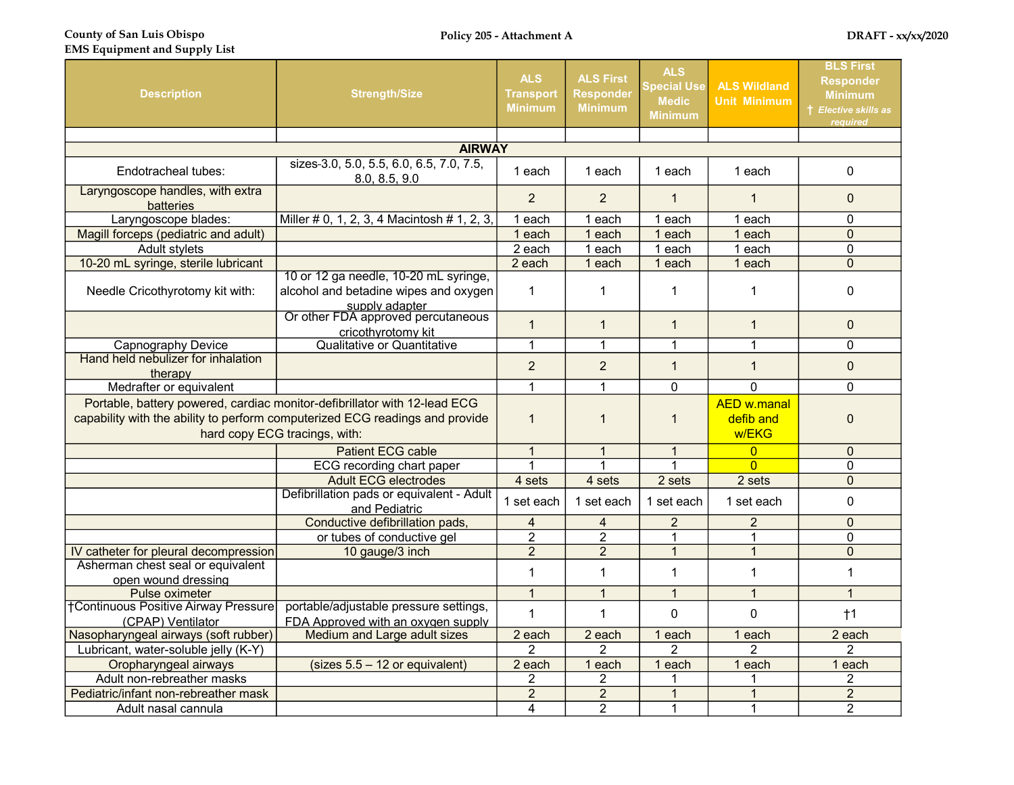County of San Luis Obispo

| <b>Description</b>                                                                                                                                                                         | <b>Strength/Size</b>                                                                             | <b>ALS</b><br>Transport<br><b>Minimum</b> | <b>ALS First</b><br><b>Responder</b><br><b>Minimum</b> | <b>ALS</b><br><b>Special Use</b><br><b>Medic</b><br><b>Minimum</b> | <b>ALS Wildland</b><br><b>Unit Minimum</b> | <b>BLS First</b><br><b>Responder</b><br><b>Minimum</b><br><b>t</b> Elective skills as<br><b>reauired</b> |
|--------------------------------------------------------------------------------------------------------------------------------------------------------------------------------------------|--------------------------------------------------------------------------------------------------|-------------------------------------------|--------------------------------------------------------|--------------------------------------------------------------------|--------------------------------------------|----------------------------------------------------------------------------------------------------------|
|                                                                                                                                                                                            |                                                                                                  |                                           |                                                        |                                                                    |                                            |                                                                                                          |
|                                                                                                                                                                                            | <b>AIRWAY</b>                                                                                    |                                           |                                                        |                                                                    |                                            |                                                                                                          |
| Endotracheal tubes:                                                                                                                                                                        | sizes-3.0, 5.0, 5.5, 6.0, 6.5, 7.0, 7.5,<br>8.0, 8.5, 9.0                                        | 1 each                                    | 1 each                                                 | 1 each                                                             | 1 each                                     | 0                                                                                                        |
| Laryngoscope handles, with extra<br>batteries                                                                                                                                              |                                                                                                  | $\overline{2}$                            | 2                                                      | $\mathbf{1}$                                                       | $\mathbf{1}$                               | $\Omega$                                                                                                 |
| Laryngoscope blades:                                                                                                                                                                       | Miller # 0, 1, 2, 3, 4 Macintosh # 1, 2, 3,                                                      | 1 each                                    | 1 each                                                 | 1 each                                                             | 1 each                                     | 0                                                                                                        |
| Magill forceps (pediatric and adult)                                                                                                                                                       |                                                                                                  | 1 each                                    | 1 each                                                 | 1 each                                                             | 1 each                                     | $\overline{0}$                                                                                           |
| Adult stylets                                                                                                                                                                              |                                                                                                  |                                           | 1 each                                                 | 1 each                                                             | 1 each                                     | 0                                                                                                        |
| 10-20 mL syringe, sterile lubricant                                                                                                                                                        |                                                                                                  | 2 each                                    | 1 each                                                 | 1 each                                                             | 1 each                                     | $\mathbf 0$                                                                                              |
| Needle Cricothyrotomy kit with:                                                                                                                                                            | 10 or 12 ga needle, 10-20 mL syringe,<br>alcohol and betadine wipes and oxygen<br>supply adapter | $\mathbf{1}$                              | 1                                                      | 1                                                                  | 1                                          | 0                                                                                                        |
| Or other FDA approved percutaneous<br>cricothyrotomy kit                                                                                                                                   |                                                                                                  | $\mathbf{1}$                              | $\mathbf{1}$                                           | $\mathbf{1}$                                                       | $\mathbf{1}$                               | $\mathbf 0$                                                                                              |
| Capnography Device                                                                                                                                                                         | Qualitative or Quantitative                                                                      |                                           | $\mathbf{1}$                                           | $\mathbf{1}$                                                       | $\mathbf{1}$                               | $\Omega$                                                                                                 |
| Hand held nebulizer for inhalation<br>therapy                                                                                                                                              |                                                                                                  | $\overline{2}$                            | $\overline{2}$                                         | $\mathbf{1}$                                                       | $\mathbf{1}$                               | $\mathbf 0$                                                                                              |
| Medrafter or equivalent                                                                                                                                                                    |                                                                                                  |                                           | $\mathbf{1}$                                           | $\Omega$                                                           | $\Omega$                                   | $\Omega$                                                                                                 |
| Portable, battery powered, cardiac monitor-defibrillator with 12-lead ECG<br>capability with the ability to perform computerized ECG readings and provide<br>hard copy ECG tracings, with: |                                                                                                  |                                           | $\mathbf 1$                                            | $\mathbf{1}$                                                       | <b>AED w.manal</b><br>defib and<br>w/EKG   | $\mathbf 0$                                                                                              |
|                                                                                                                                                                                            | <b>Patient ECG cable</b>                                                                         | $\overline{1}$                            | $\mathbf{1}$                                           | $\mathbf{1}$                                                       | $\overline{0}$                             | $\overline{0}$                                                                                           |
|                                                                                                                                                                                            | ECG recording chart paper                                                                        | 1                                         | 1                                                      | 1                                                                  | $\overline{0}$                             | 0                                                                                                        |
|                                                                                                                                                                                            | <b>Adult ECG electrodes</b>                                                                      | 4 sets                                    | 4 sets                                                 | 2 sets                                                             | 2 sets                                     | $\overline{0}$                                                                                           |
|                                                                                                                                                                                            | Defibrillation pads or equivalent - Adult<br>and Pediatric                                       | 1 set each                                | 1 set each                                             | 1 set each                                                         | 1 set each                                 | 0                                                                                                        |
|                                                                                                                                                                                            | Conductive defibrillation pads,                                                                  | 4                                         | 4                                                      | $\overline{2}$                                                     | $\overline{2}$                             | $\overline{0}$                                                                                           |
|                                                                                                                                                                                            | or tubes of conductive gel                                                                       | $\overline{2}$                            | $\overline{2}$                                         | $\mathbf{1}$                                                       | $\mathbf{1}$                               | 0                                                                                                        |
| IV catheter for pleural decompression                                                                                                                                                      | 10 gauge/3 inch                                                                                  | $\overline{2}$                            | $\overline{2}$                                         | $\mathbf{1}$                                                       | $\mathbf{1}$                               | $\mathbf 0$                                                                                              |
| Asherman chest seal or equivalent<br>open wound dressing                                                                                                                                   |                                                                                                  | $\mathbf 1$                               | $\mathbf{1}$                                           | $\mathbf{1}$                                                       | $\mathbf{1}$                               | $\mathbf{1}$                                                                                             |
| Pulse oximeter                                                                                                                                                                             |                                                                                                  | $\overline{1}$                            | $\mathbf{1}$                                           | $\mathbf{1}$                                                       | $\mathbf{1}$                               | $\mathbf{1}$                                                                                             |
| <b>†Continuous Positive Airway Pressure</b><br>(CPAP) Ventilator                                                                                                                           | portable/adjustable pressure settings,<br>FDA Approved with an oxygen supply                     | 1                                         | $\mathbf{1}$                                           | $\mathbf 0$                                                        | $\mathbf{0}$                               | $\dagger$ 1                                                                                              |
| Nasopharyngeal airways (soft rubber)                                                                                                                                                       | Medium and Large adult sizes                                                                     | 2 each                                    | 2 each                                                 | 1 each                                                             | 1 each                                     | 2 each                                                                                                   |
| Lubricant, water-soluble jelly (K-Y)                                                                                                                                                       |                                                                                                  | 2                                         | 2                                                      | 2                                                                  | $\overline{2}$                             | $\overline{2}$                                                                                           |
| Oropharyngeal airways                                                                                                                                                                      | $(sizes 5.5 - 12 or equivalent)$                                                                 | 2 each                                    | 1 each                                                 | 1 each                                                             | 1 each                                     | 1 each                                                                                                   |
| Adult non-rebreather masks                                                                                                                                                                 |                                                                                                  | $\overline{2}$                            | $\overline{2}$                                         | 1                                                                  |                                            | 2                                                                                                        |
| Pediatric/infant non-rebreather mask                                                                                                                                                       |                                                                                                  | $\overline{c}$                            | $\overline{c}$                                         | $\overline{1}$                                                     | $\overline{1}$                             | $\overline{2}$                                                                                           |
| Adult nasal cannula                                                                                                                                                                        |                                                                                                  | 4                                         | $\overline{2}$                                         | $\mathbf 1$                                                        | $\mathbf{1}$                               | $\overline{2}$                                                                                           |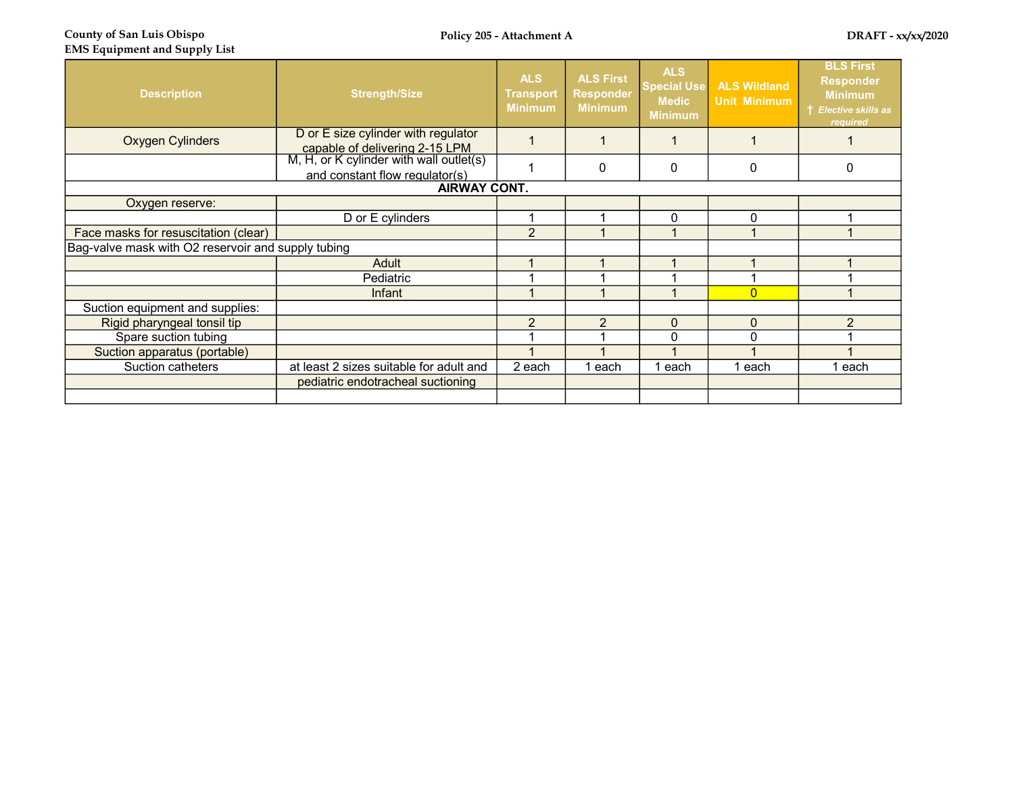County of San Luis Obispo EMS Equipment and Supply List

| <b>Description</b>                                 | <b>Strength/Size</b>                                                                                             | <b>ALS</b><br><b>Transport</b><br><b>Minimum</b> | <b>ALS First</b><br><b>Responder</b><br><b>Minimum</b> | <b>ALS</b><br><b>Special Use</b><br><b>Medic</b><br><b>Minimum</b> | <b>ALS Wildland</b><br><b>Unit Minimum</b> | <b>BLS First</b><br><b>Responder</b><br><b>Minimum</b><br>† Elective skills as<br>required |
|----------------------------------------------------|------------------------------------------------------------------------------------------------------------------|--------------------------------------------------|--------------------------------------------------------|--------------------------------------------------------------------|--------------------------------------------|--------------------------------------------------------------------------------------------|
| <b>Oxygen Cylinders</b>                            | D or E size cylinder with regulator<br>capable of delivering 2-15 LPM<br>M, H, or K cylinder with wall outlet(s) |                                                  |                                                        |                                                                    |                                            |                                                                                            |
|                                                    | and constant flow regulator(s)                                                                                   |                                                  | 0                                                      | 0                                                                  | 0                                          | 0                                                                                          |
|                                                    | <b>AIRWAY CONT.</b>                                                                                              |                                                  |                                                        |                                                                    |                                            |                                                                                            |
| Oxygen reserve:                                    |                                                                                                                  |                                                  |                                                        |                                                                    |                                            |                                                                                            |
|                                                    | D or E cylinders                                                                                                 |                                                  |                                                        | 0                                                                  | $\Omega$                                   |                                                                                            |
| Face masks for resuscitation (clear)               |                                                                                                                  | $\overline{2}$                                   |                                                        |                                                                    |                                            |                                                                                            |
| Bag-valve mask with O2 reservoir and supply tubing |                                                                                                                  |                                                  |                                                        |                                                                    |                                            |                                                                                            |
|                                                    | Adult                                                                                                            |                                                  |                                                        |                                                                    |                                            |                                                                                            |
|                                                    | Pediatric                                                                                                        |                                                  |                                                        |                                                                    |                                            |                                                                                            |
|                                                    | Infant                                                                                                           |                                                  |                                                        |                                                                    | $\Omega$                                   |                                                                                            |
| Suction equipment and supplies:                    |                                                                                                                  |                                                  |                                                        |                                                                    |                                            |                                                                                            |
| Rigid pharyngeal tonsil tip                        |                                                                                                                  | $\overline{2}$                                   | $\overline{2}$                                         | $\mathbf 0$                                                        | $\Omega$                                   | $\overline{2}$                                                                             |
| Spare suction tubing                               |                                                                                                                  |                                                  |                                                        | $\mathbf 0$                                                        | $\Omega$                                   |                                                                                            |
| Suction apparatus (portable)                       |                                                                                                                  |                                                  |                                                        |                                                                    |                                            |                                                                                            |
| Suction catheters                                  | at least 2 sizes suitable for adult and                                                                          | 2 each                                           | 1 each                                                 | 1 each                                                             | 1 each                                     | 1 each                                                                                     |
|                                                    | pediatric endotracheal suctioning                                                                                |                                                  |                                                        |                                                                    |                                            |                                                                                            |
|                                                    |                                                                                                                  |                                                  |                                                        |                                                                    |                                            |                                                                                            |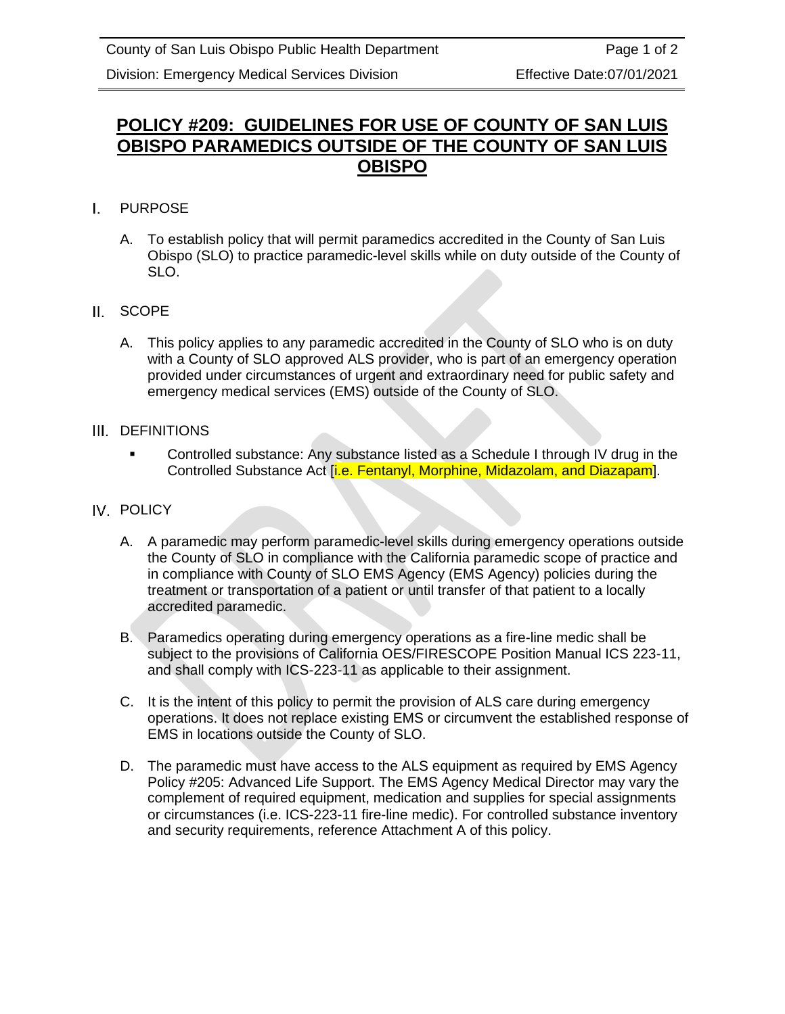# **POLICY #209: GUIDELINES FOR USE OF COUNTY OF SAN LUIS OBISPO PARAMEDICS OUTSIDE OF THE COUNTY OF SAN LUIS OBISPO**

- I. PURPOSE
	- A. To establish policy that will permit paramedics accredited in the County of San Luis Obispo (SLO) to practice paramedic-level skills while on duty outside of the County of SLO.
- II. SCOPE
	- A. This policy applies to any paramedic accredited in the County of SLO who is on duty with a County of SLO approved ALS provider, who is part of an emergency operation provided under circumstances of urgent and extraordinary need for public safety and emergency medical services (EMS) outside of the County of SLO.

### III. DEFINITIONS

▪ Controlled substance: Any substance listed as a Schedule I through IV drug in the Controlled Substance Act *[i.e. Fentanyl, Morphine, Midazolam, and Diazapam]*.

### IV. POLICY

- A. A paramedic may perform paramedic-level skills during emergency operations outside the County of SLO in compliance with the California paramedic scope of practice and in compliance with County of SLO EMS Agency (EMS Agency) policies during the treatment or transportation of a patient or until transfer of that patient to a locally accredited paramedic.
- B. Paramedics operating during emergency operations as a fire-line medic shall be subject to the provisions of California OES/FIRESCOPE Position Manual ICS 223-11, and shall comply with ICS-223-11 as applicable to their assignment.
- C. It is the intent of this policy to permit the provision of ALS care during emergency operations. It does not replace existing EMS or circumvent the established response of EMS in locations outside the County of SLO.
- D. The paramedic must have access to the ALS equipment as required by EMS Agency Policy #205: Advanced Life Support. The EMS Agency Medical Director may vary the complement of required equipment, medication and supplies for special assignments or circumstances (i.e. ICS-223-11 fire-line medic). For controlled substance inventory and security requirements, reference Attachment A of this policy.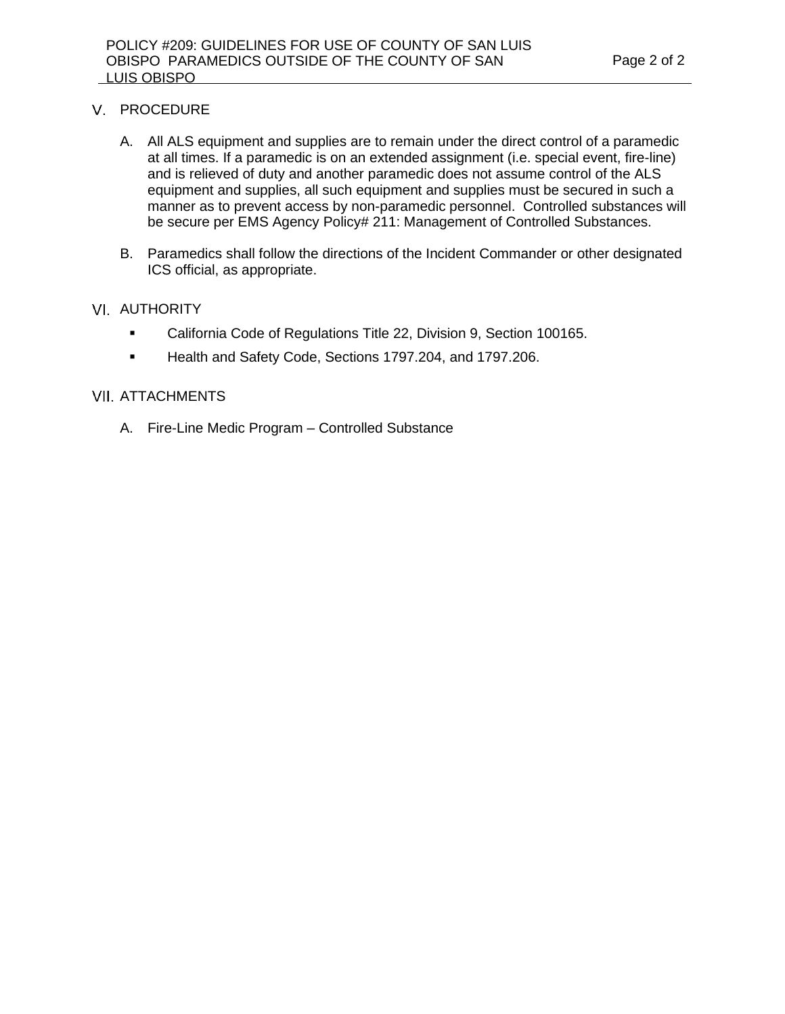#### V. PROCEDURE

- A. All ALS equipment and supplies are to remain under the direct control of a paramedic at all times. If a paramedic is on an extended assignment (i.e. special event, fire-line) and is relieved of duty and another paramedic does not assume control of the ALS equipment and supplies, all such equipment and supplies must be secured in such a manner as to prevent access by non-paramedic personnel. Controlled substances will be secure per EMS Agency Policy# 211: Management of Controlled Substances.
- B. Paramedics shall follow the directions of the Incident Commander or other designated ICS official, as appropriate.

#### **VI. AUTHORITY**

- California Code of Regulations Title 22, Division 9, Section 100165.
- Health and Safety Code, Sections 1797.204, and 1797.206.

#### **VII. ATTACHMENTS**

A. Fire-Line Medic Program – Controlled Substance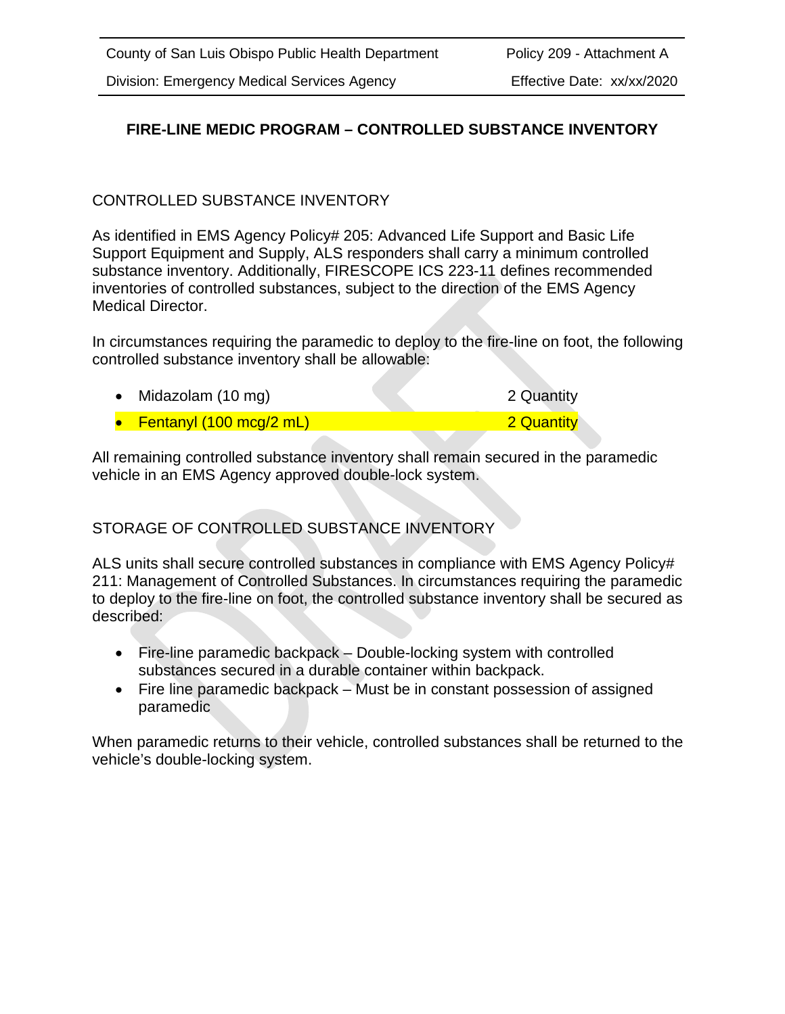### **FIRE-LINE MEDIC PROGRAM – CONTROLLED SUBSTANCE INVENTORY**

### CONTROLLED SUBSTANCE INVENTORY

As identified in EMS Agency Policy# 205: Advanced Life Support and Basic Life Support Equipment and Supply, ALS responders shall carry a minimum controlled substance inventory. Additionally, FIRESCOPE ICS 223-11 defines recommended inventories of controlled substances, subject to the direction of the EMS Agency Medical Director.

In circumstances requiring the paramedic to deploy to the fire-line on foot, the following controlled substance inventory shall be allowable:

| • Midazolam $(10 \text{ mg})$               | 2 Quantity |
|---------------------------------------------|------------|
| • Fentanyl $(100 \text{ mcg}/2 \text{ mL})$ | 2 Quantity |

All remaining controlled substance inventory shall remain secured in the paramedic vehicle in an EMS Agency approved double-lock system.

STORAGE OF CONTROLLED SUBSTANCE INVENTORY

ALS units shall secure controlled substances in compliance with EMS Agency Policy# 211: Management of Controlled Substances. In circumstances requiring the paramedic to deploy to the fire-line on foot, the controlled substance inventory shall be secured as described:

- Fire-line paramedic backpack Double-locking system with controlled substances secured in a durable container within backpack.
- Fire line paramedic backpack Must be in constant possession of assigned paramedic

When paramedic returns to their vehicle, controlled substances shall be returned to the vehicle's double-locking system.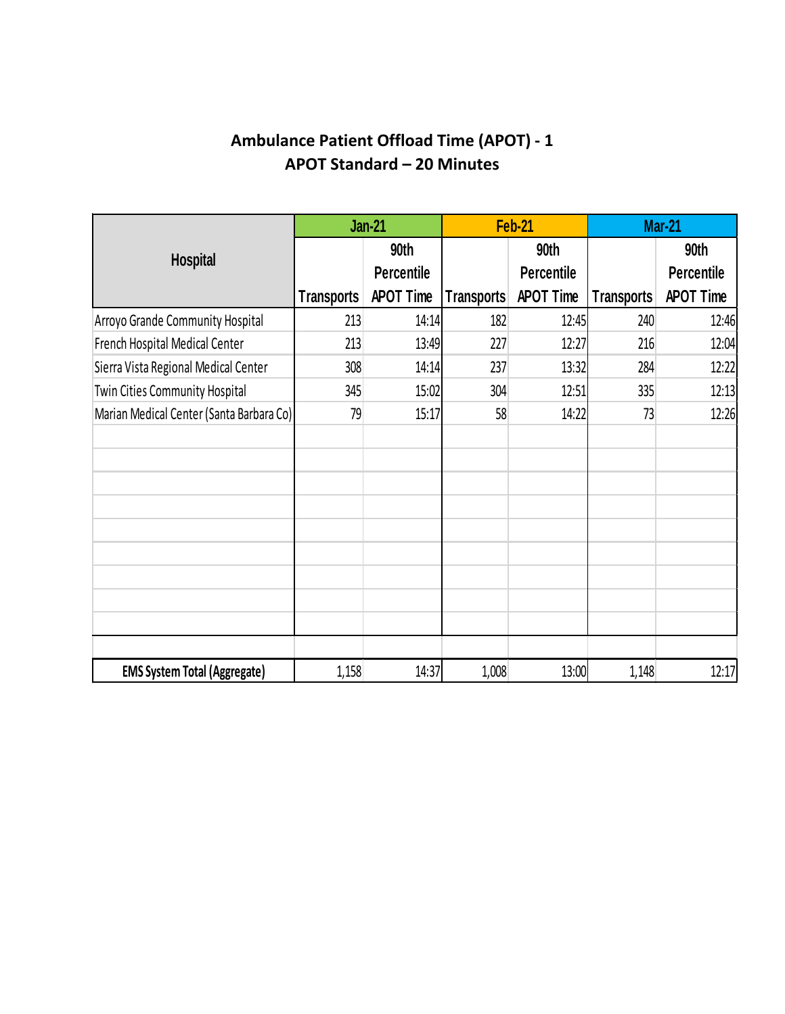# **Ambulance Patient Offload Time (APOT) - 1 APOT Standard – 20 Minutes**

|                                          |                   | <b>Jan-21</b>             |                   | Feb-21                    | <b>Mar-21</b>     |                           |
|------------------------------------------|-------------------|---------------------------|-------------------|---------------------------|-------------------|---------------------------|
| <b>Hospital</b>                          |                   | 90th<br><b>Percentile</b> |                   | 90th<br><b>Percentile</b> |                   | 90th<br><b>Percentile</b> |
|                                          | <b>Transports</b> | <b>APOT Time</b>          | <b>Transports</b> | <b>APOT Time</b>          | <b>Transports</b> | <b>APOT Time</b>          |
| Arroyo Grande Community Hospital         | 213               | 14:14                     | 182               | 12:45                     | 240               | 12:46                     |
| French Hospital Medical Center           | 213               | 13:49                     | 227               | 12:27                     | 216               | 12:04                     |
| Sierra Vista Regional Medical Center     | 308               | 14:14                     | 237               | 13:32                     | 284               | 12:22                     |
| <b>Twin Cities Community Hospital</b>    | 345               | 15:02                     | 304               | 12:51                     | 335               | 12:13                     |
| Marian Medical Center (Santa Barbara Co) | 79                | 15:17                     | 58                | 14:22                     | 73                | 12:26                     |
|                                          |                   |                           |                   |                           |                   |                           |
|                                          |                   |                           |                   |                           |                   |                           |
| <b>EMS System Total (Aggregate)</b>      | 1,158             | 14:37                     | 1,008             | 13:00                     | 1,148             | 12:17                     |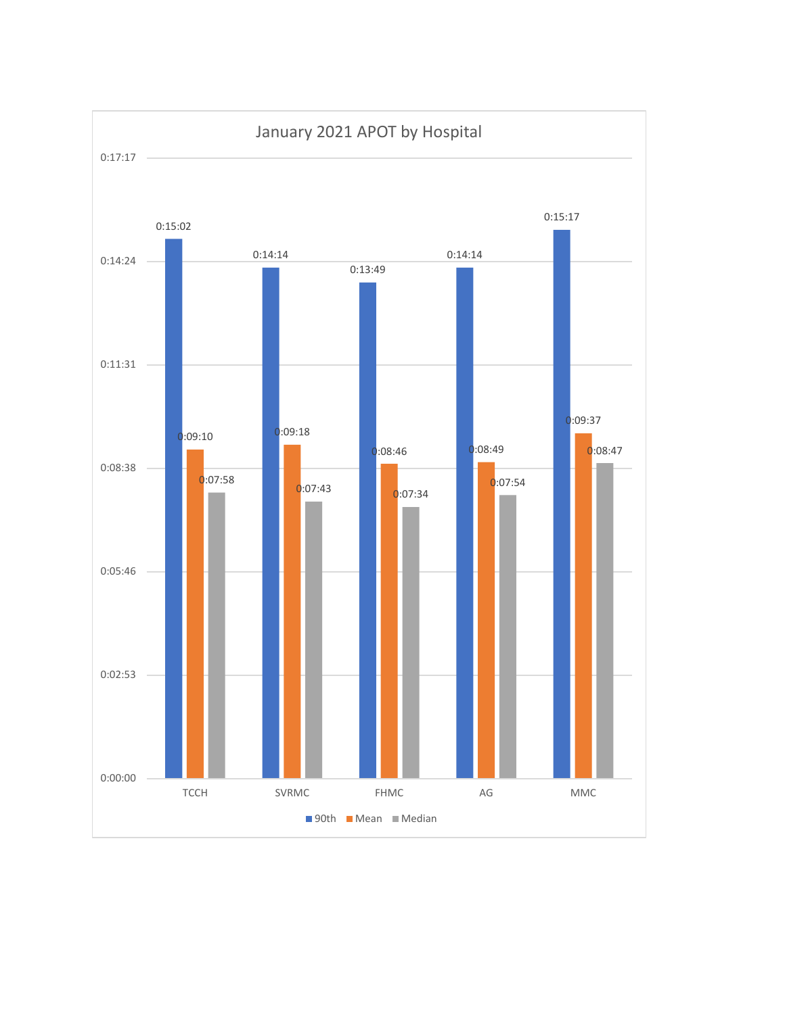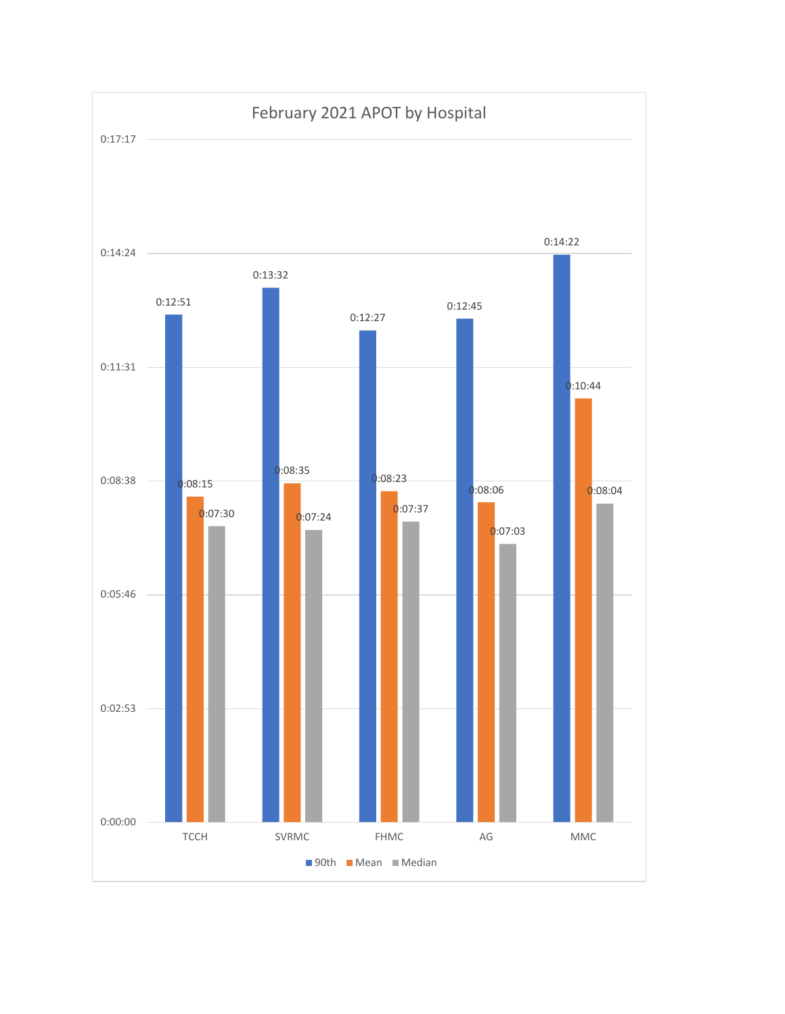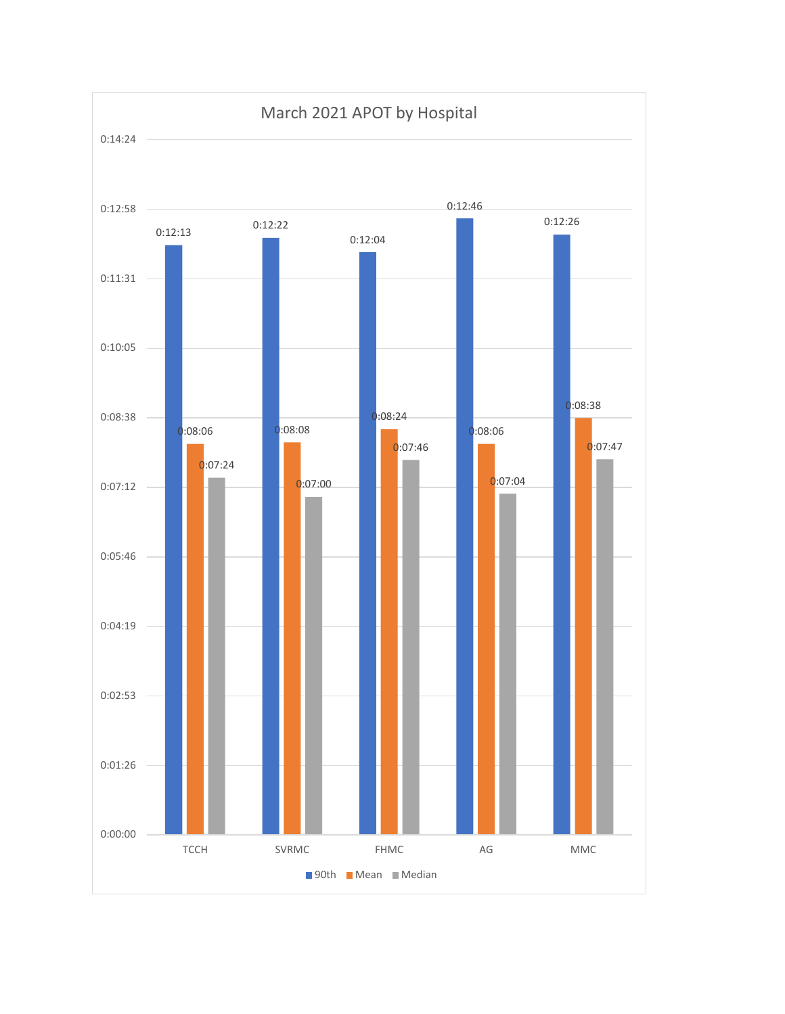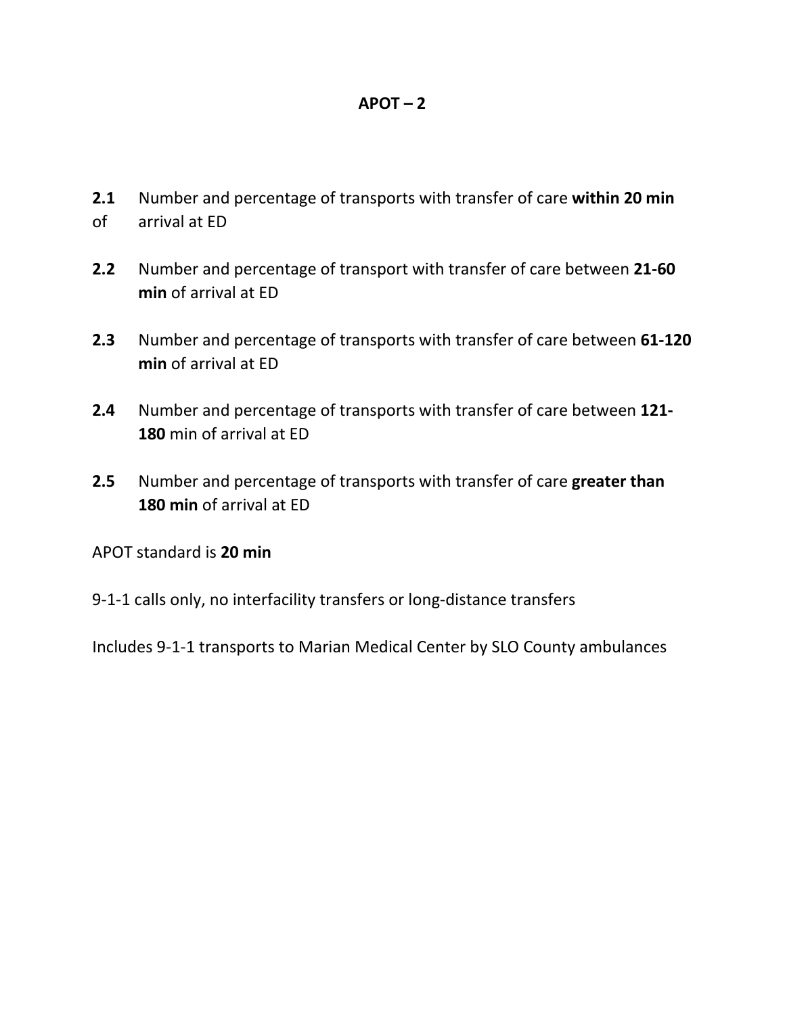### **APOT – 2**

- **2.1** Number and percentage of transports with transfer of care **within 20 min** of arrival at ED
- **2.2** Number and percentage of transport with transfer of care between **21-60 min** of arrival at ED
- **2.3** Number and percentage of transports with transfer of care between **61-120 min** of arrival at ED
- **2.4** Number and percentage of transports with transfer of care between **121- 180** min of arrival at ED
- **2.5** Number and percentage of transports with transfer of care **greater than 180 min** of arrival at ED
- APOT standard is **20 min**
- 9-1-1 calls only, no interfacility transfers or long-distance transfers

Includes 9-1-1 transports to Marian Medical Center by SLO County ambulances